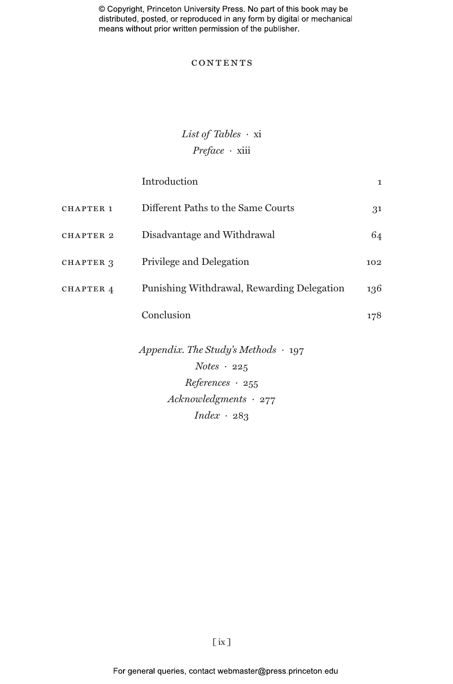## **CONTENTS**

# *List of Tables ·* xi *Preface ·* xiii

|                      | Introduction                               | 1   |
|----------------------|--------------------------------------------|-----|
| <b>CHAPTER 1</b>     | Different Paths to the Same Courts         | 31  |
| CHAPTER <sub>2</sub> | Disadvantage and Withdrawal                | 64  |
| CHAPTER 3            | Privilege and Delegation                   | 102 |
| CHAPTER 4            | Punishing Withdrawal, Rewarding Delegation | 136 |
|                      | Conclusion                                 | 178 |
|                      | Appendix. The Study's Methods $\cdot$ 197  |     |

*Notes ·* 225 *References ·* 255 *Acknowledgments ·* 277 *Index ·* 283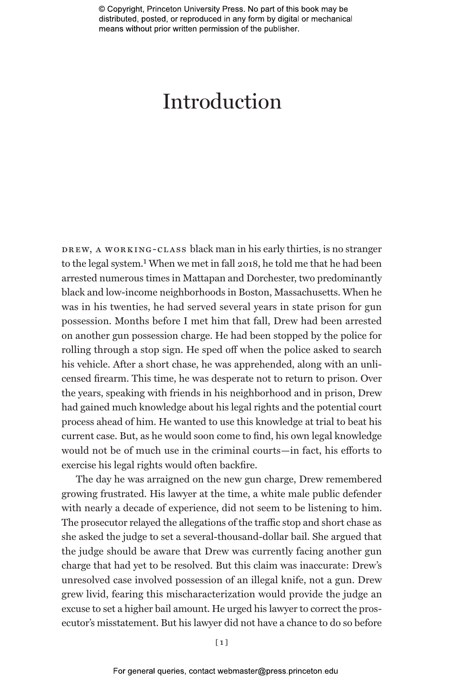# Introduction

DREW, A WORKING-CLASS black man in his early thirties, is no stranger to the legal system.<sup>1</sup> When we met in fall 2018, he told me that he had been arrested numerous times in Mattapan and Dorchester, two predominantly black and low-income neighborhoods in Boston, Massachusetts. When he was in his twenties, he had served several years in state prison for gun possession. Months before I met him that fall, Drew had been arrested on another gun possession charge. He had been stopped by the police for rolling through a stop sign. He sped off when the police asked to search his vehicle. After a short chase, he was apprehended, along with an unlicensed firearm. This time, he was desperate not to return to prison. Over the years, speaking with friends in his neighborhood and in prison, Drew had gained much knowledge about his legal rights and the potential court process ahead of him. He wanted to use this knowledge at trial to beat his current case. But, as he would soon come to find, his own legal knowledge would not be of much use in the criminal courts—in fact, his efforts to exercise his legal rights would often backfire.

The day he was arraigned on the new gun charge, Drew remembered growing frustrated. His lawyer at the time, a white male public defender with nearly a decade of experience, did not seem to be listening to him. The prosecutor relayed the allegations of the traffic stop and short chase as she asked the judge to set a several-thousand-dollar bail. She argued that the judge should be aware that Drew was currently facing another gun charge that had yet to be resolved. But this claim was inaccurate: Drew's unresolved case involved possession of an illegal knife, not a gun. Drew grew livid, fearing this mischaracterization would provide the judge an excuse to set a higher bail amount. He urged his lawyer to correct the prosecutor's misstatement. But his lawyer did not have a chance to do so before

[ 1 ]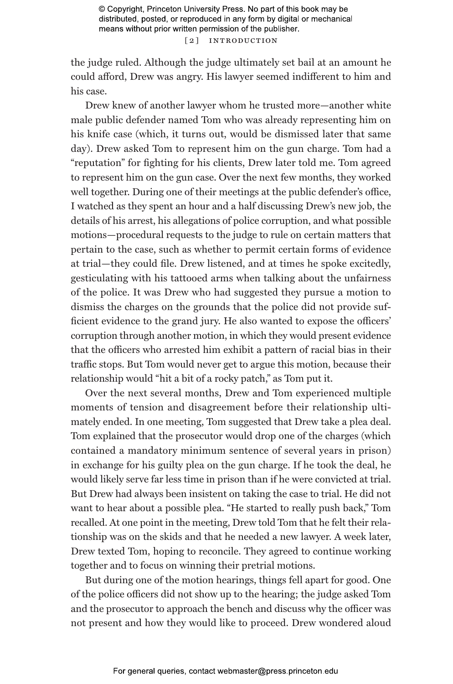[ 2 ] Introduction

the judge ruled. Although the judge ultimately set bail at an amount he could afford, Drew was angry. His lawyer seemed indifferent to him and his case.

Drew knew of another lawyer whom he trusted more—another white male public defender named Tom who was already representing him on his knife case (which, it turns out, would be dismissed later that same day). Drew asked Tom to represent him on the gun charge. Tom had a "reputation" for fighting for his clients, Drew later told me. Tom agreed to represent him on the gun case. Over the next few months, they worked well together. During one of their meetings at the public defender's office, I watched as they spent an hour and a half discussing Drew's new job, the details of his arrest, his allegations of police corruption, and what possible motions—procedural requests to the judge to rule on certain matters that pertain to the case, such as whether to permit certain forms of evidence at trial—they could file. Drew listened, and at times he spoke excitedly, gesticulating with his tattooed arms when talking about the unfairness of the police. It was Drew who had suggested they pursue a motion to dismiss the charges on the grounds that the police did not provide sufficient evidence to the grand jury. He also wanted to expose the officers' corruption through another motion, in which they would present evidence that the officers who arrested him exhibit a pattern of racial bias in their traffic stops. But Tom would never get to argue this motion, because their relationship would "hit a bit of a rocky patch," as Tom put it.

Over the next several months, Drew and Tom experienced multiple moments of tension and disagreement before their relationship ultimately ended. In one meeting, Tom suggested that Drew take a plea deal. Tom explained that the prosecutor would drop one of the charges (which contained a mandatory minimum sentence of several years in prison) in exchange for his guilty plea on the gun charge. If he took the deal, he would likely serve far less time in prison than if he were convicted at trial. But Drew had always been insistent on taking the case to trial. He did not want to hear about a possible plea. "He started to really push back," Tom recalled. At one point in the meeting, Drew told Tom that he felt their relationship was on the skids and that he needed a new lawyer. A week later, Drew texted Tom, hoping to reconcile. They agreed to continue working together and to focus on winning their pretrial motions.

But during one of the motion hearings, things fell apart for good. One of the police officers did not show up to the hearing; the judge asked Tom and the prosecutor to approach the bench and discuss why the officer was not present and how they would like to proceed. Drew wondered aloud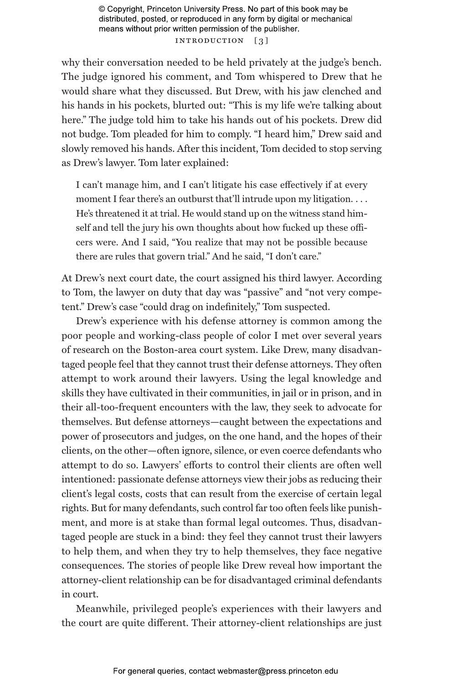why their conversation needed to be held privately at the judge's bench. The judge ignored his comment, and Tom whispered to Drew that he would share what they discussed. But Drew, with his jaw clenched and his hands in his pockets, blurted out: "This is my life we're talking about here." The judge told him to take his hands out of his pockets. Drew did not budge. Tom pleaded for him to comply. "I heard him," Drew said and slowly removed his hands. After this incident, Tom decided to stop serving as Drew's lawyer. Tom later explained:

I can't manage him, and I can't litigate his case effectively if at every moment I fear there's an outburst that'll intrude upon my litigation. . . . He's threatened it at trial. He would stand up on the witness stand himself and tell the jury his own thoughts about how fucked up these officers were. And I said, "You realize that may not be possible because there are rules that govern trial." And he said, "I don't care."

At Drew's next court date, the court assigned his third lawyer. According to Tom, the lawyer on duty that day was "passive" and "not very competent." Drew's case "could drag on indefinitely," Tom suspected.

Drew's experience with his defense attorney is common among the poor people and working-class people of color I met over several years of research on the Boston-area court system. Like Drew, many disadvantaged people feel that they cannot trust their defense attorneys. They often attempt to work around their lawyers. Using the legal knowledge and skills they have cultivated in their communities, in jail or in prison, and in their all-too-frequent encounters with the law, they seek to advocate for themselves. But defense attorneys—caught between the expectations and power of prosecutors and judges, on the one hand, and the hopes of their clients, on the other—often ignore, silence, or even coerce defendants who attempt to do so. Lawyers' efforts to control their clients are often well intentioned: passionate defense attorneys view their jobs as reducing their client's legal costs, costs that can result from the exercise of certain legal rights. But for many defendants, such control far too often feels like punishment, and more is at stake than formal legal outcomes. Thus, disadvantaged people are stuck in a bind: they feel they cannot trust their lawyers to help them, and when they try to help themselves, they face negative consequences. The stories of people like Drew reveal how important the attorney-client relationship can be for disadvantaged criminal defendants in court.

Meanwhile, privileged people's experiences with their lawyers and the court are quite diferent. Their attorney-client relationships are just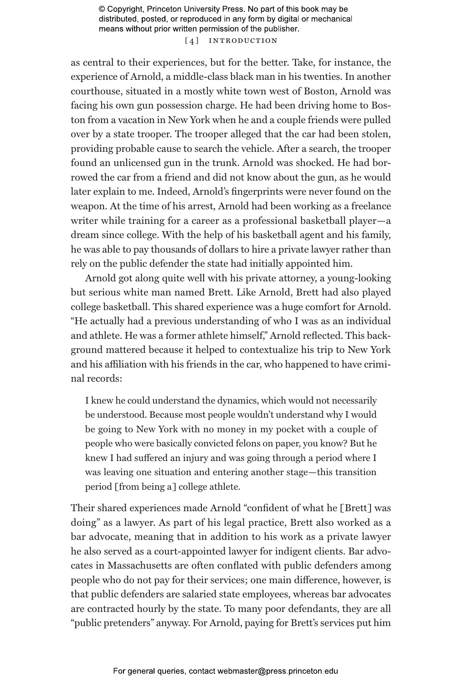## [4] INTRODUCTION

as central to their experiences, but for the better. Take, for instance, the experience of Arnold, a middle-class black man in his twenties. In another courthouse, situated in a mostly white town west of Boston, Arnold was facing his own gun possession charge. He had been driving home to Boston from a vacation in New York when he and a couple friends were pulled over by a state trooper. The trooper alleged that the car had been stolen, providing probable cause to search the vehicle. After a search, the trooper found an unlicensed gun in the trunk. Arnold was shocked. He had borrowed the car from a friend and did not know about the gun, as he would later explain to me. Indeed, Arnold's fingerprints were never found on the weapon. At the time of his arrest, Arnold had been working as a freelance writer while training for a career as a professional basketball player—a dream since college. With the help of his basketball agent and his family, he was able to pay thousands of dollars to hire a private lawyer rather than rely on the public defender the state had initially appointed him.

Arnold got along quite well with his private attorney, a young-looking but serious white man named Brett. Like Arnold, Brett had also played college basketball. This shared experience was a huge comfort for Arnold. "He actually had a previous understanding of who I was as an individual and athlete. He was a former athlete himself," Arnold reflected. This background mattered because it helped to contextualize his trip to New York and his affiliation with his friends in the car, who happened to have criminal records:

I knew he could understand the dynamics, which would not necessarily be understood. Because most people wouldn't understand why I would be going to New York with no money in my pocket with a couple of people who were basically convicted felons on paper, you know? But he knew I had suffered an injury and was going through a period where I was leaving one situation and entering another stage—this transition period [from being a] college athlete.

Their shared experiences made Arnold "confident of what he [Brett] was doing" as a lawyer. As part of his legal practice, Brett also worked as a bar advocate, meaning that in addition to his work as a private lawyer he also served as a court-appointed lawyer for indigent clients. Bar advocates in Massachusetts are often conflated with public defenders among people who do not pay for their services; one main difference, however, is that public defenders are salaried state employees, whereas bar advocates are contracted hourly by the state. To many poor defendants, they are all "public pretenders" anyway. For Arnold, paying for Brett's services put him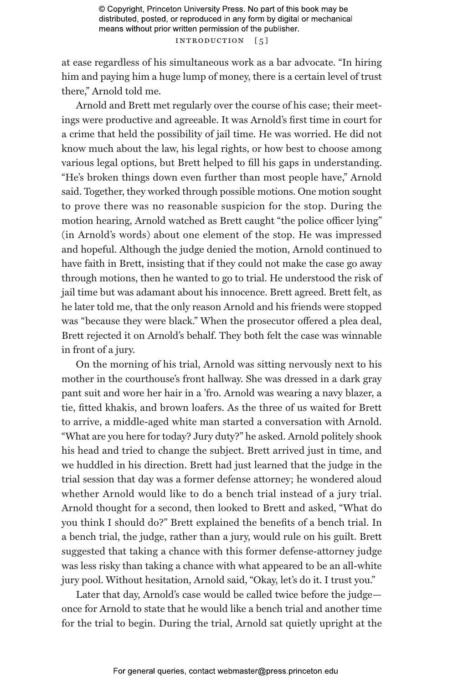at ease regardless of his simultaneous work as a bar advocate. "In hiring him and paying him a huge lump of money, there is a certain level of trust there," Arnold told me.

Arnold and Brett met regularly over the course of his case; their meetings were productive and agreeable. It was Arnold's first time in court for a crime that held the possibility of jail time. He was worried. He did not know much about the law, his legal rights, or how best to choose among various legal options, but Brett helped to fill his gaps in understanding. "He's broken things down even further than most people have," Arnold said. Together, they worked through possible motions. One motion sought to prove there was no reasonable suspicion for the stop. During the motion hearing, Arnold watched as Brett caught "the police officer lying" (in Arnold's words) about one element of the stop. He was impressed and hopeful. Although the judge denied the motion, Arnold continued to have faith in Brett, insisting that if they could not make the case go away through motions, then he wanted to go to trial. He understood the risk of jail time but was adamant about his innocence. Brett agreed. Brett felt, as he later told me, that the only reason Arnold and his friends were stopped was "because they were black." When the prosecutor offered a plea deal, Brett rejected it on Arnold's behalf. They both felt the case was winnable in front of a jury.

On the morning of his trial, Arnold was sitting nervously next to his mother in the courthouse's front hallway. She was dressed in a dark gray pant suit and wore her hair in a 'fro. Arnold was wearing a navy blazer, a tie, fitted khakis, and brown loafers. As the three of us waited for Brett to arrive, a middle-aged white man started a conversation with Arnold. "What are you here for today? Jury duty?" he asked. Arnold politely shook his head and tried to change the subject. Brett arrived just in time, and we huddled in his direction. Brett had just learned that the judge in the trial session that day was a former defense attorney; he wondered aloud whether Arnold would like to do a bench trial instead of a jury trial. Arnold thought for a second, then looked to Brett and asked, "What do you think I should do?" Brett explained the benefits of a bench trial. In a bench trial, the judge, rather than a jury, would rule on his guilt. Brett suggested that taking a chance with this former defense-attorney judge was less risky than taking a chance with what appeared to be an all-white jury pool. Without hesitation, Arnold said, "Okay, let's do it. I trust you."

Later that day, Arnold's case would be called twice before the judge once for Arnold to state that he would like a bench trial and another time for the trial to begin. During the trial, Arnold sat quietly upright at the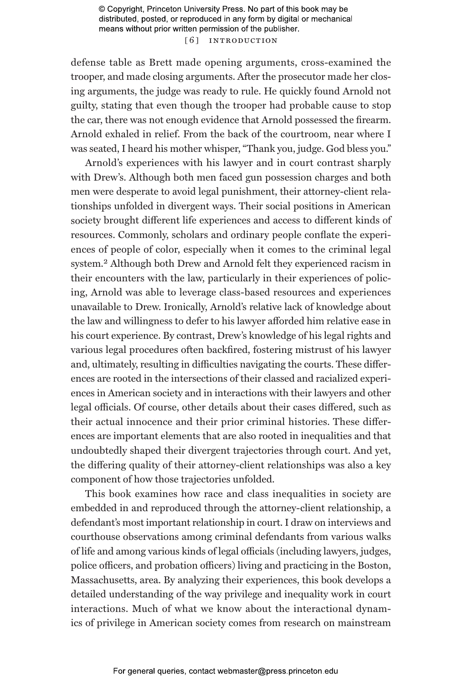[ 6 ] Introduction

defense table as Brett made opening arguments, cross-examined the trooper, and made closing arguments. After the prosecutor made her closing arguments, the judge was ready to rule. He quickly found Arnold not guilty, stating that even though the trooper had probable cause to stop the car, there was not enough evidence that Arnold possessed the firearm. Arnold exhaled in relief. From the back of the courtroom, near where I was seated, I heard his mother whisper, "Thank you, judge. God bless you."

Arnold's experiences with his lawyer and in court contrast sharply with Drew's. Although both men faced gun possession charges and both men were desperate to avoid legal punishment, their attorney-client relationships unfolded in divergent ways. Their social positions in American society brought diferent life experiences and access to diferent kinds of resources. Commonly, scholars and ordinary people conflate the experiences of people of color, especially when it comes to the criminal legal system.2 Although both Drew and Arnold felt they experienced racism in their encounters with the law, particularly in their experiences of policing, Arnold was able to leverage class-based resources and experiences unavailable to Drew. Ironically, Arnold's relative lack of knowledge about the law and willingness to defer to his lawyer afforded him relative ease in his court experience. By contrast, Drew's knowledge of his legal rights and various legal procedures often backfired, fostering mistrust of his lawyer and, ultimately, resulting in difficulties navigating the courts. These differences are rooted in the intersections of their classed and racialized experiences in American society and in interactions with their lawyers and other legal officials. Of course, other details about their cases differed, such as their actual innocence and their prior criminal histories. These differences are important elements that are also rooted in inequalities and that undoubtedly shaped their divergent trajectories through court. And yet, the differing quality of their attorney-client relationships was also a key component of how those trajectories unfolded.

This book examines how race and class inequalities in society are embedded in and reproduced through the attorney-client relationship, a defendant's most important relationship in court. I draw on interviews and courthouse observations among criminal defendants from various walks of life and among various kinds of legal officials (including lawyers, judges, police officers, and probation officers) living and practicing in the Boston, Massachusetts, area. By analyzing their experiences, this book develops a detailed understanding of the way privilege and inequality work in court interactions. Much of what we know about the interactional dynamics of privilege in American society comes from research on mainstream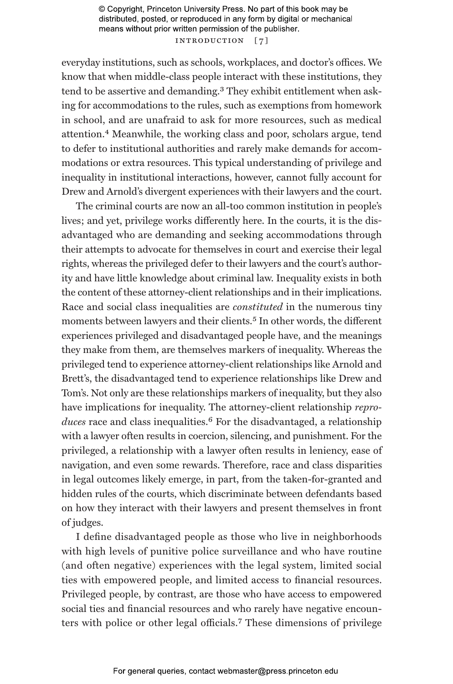Introduction [ 7 ]

everyday institutions, such as schools, workplaces, and doctor's offices. We know that when middle-class people interact with these institutions, they tend to be assertive and demanding.<sup>3</sup> They exhibit entitlement when asking for accommodations to the rules, such as exemptions from homework in school, and are unafraid to ask for more resources, such as medical attention.4 Meanwhile, the working class and poor, scholars argue, tend to defer to institutional authorities and rarely make demands for accommodations or extra resources. This typical understanding of privilege and inequality in institutional interactions, however, cannot fully account for Drew and Arnold's divergent experiences with their lawyers and the court.

The criminal courts are now an all-too common institution in people's lives; and yet, privilege works differently here. In the courts, it is the disadvantaged who are demanding and seeking accommodations through their attempts to advocate for themselves in court and exercise their legal rights, whereas the privileged defer to their lawyers and the court's authority and have little knowledge about criminal law. Inequality exists in both the content of these attorney-client relationships and in their implications. Race and social class inequalities are *constituted* in the numerous tiny moments between lawyers and their clients.<sup>5</sup> In other words, the different experiences privileged and disadvantaged people have, and the meanings they make from them, are themselves markers of inequality. Whereas the privileged tend to experience attorney-client relationships like Arnold and Brett's, the disadvantaged tend to experience relationships like Drew and Tom's. Not only are these relationships markers of inequality, but they also have implications for inequality. The attorney-client relationship *repro*duces race and class inequalities.<sup>6</sup> For the disadvantaged, a relationship with a lawyer often results in coercion, silencing, and punishment. For the privileged, a relationship with a lawyer often results in leniency, ease of navigation, and even some rewards. Therefore, race and class disparities in legal outcomes likely emerge, in part, from the taken-for-granted and hidden rules of the courts, which discriminate between defendants based on how they interact with their lawyers and present themselves in front of judges.

I define disadvantaged people as those who live in neighborhoods with high levels of punitive police surveillance and who have routine (and often negative) experiences with the legal system, limited social ties with empowered people, and limited access to financial resources. Privileged people, by contrast, are those who have access to empowered social ties and financial resources and who rarely have negative encounters with police or other legal officials.7 These dimensions of privilege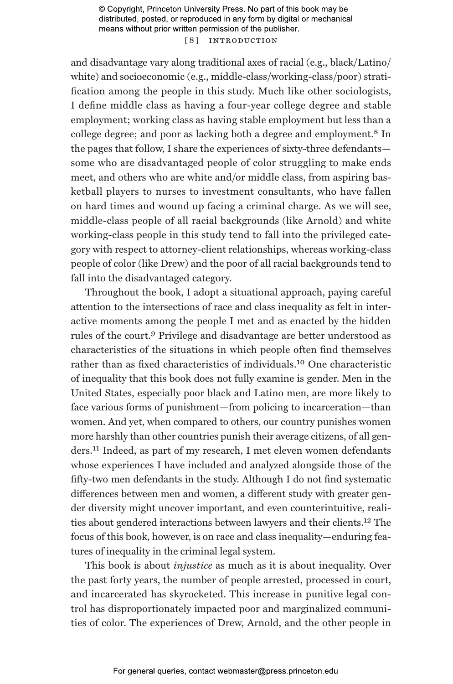[ 8 ] Introduction

and disadvantage vary along traditional axes of racial (e.g., black/Latino/ white) and socioeconomic (e.g., middle-class/working-class/poor) stratification among the people in this study. Much like other sociologists, I define middle class as having a four-year college degree and stable employment; working class as having stable employment but less than a college degree; and poor as lacking both a degree and employment.<sup>8</sup> In the pages that follow, I share the experiences of sixty-three defendants some who are disadvantaged people of color struggling to make ends meet, and others who are white and/or middle class, from aspiring basketball players to nurses to investment consultants, who have fallen on hard times and wound up facing a criminal charge. As we will see, middle-class people of all racial backgrounds (like Arnold) and white working-class people in this study tend to fall into the privileged category with respect to attorney-client relationships, whereas working-class people of color (like Drew) and the poor of all racial backgrounds tend to fall into the disadvantaged category.

Throughout the book, I adopt a situational approach, paying careful attention to the intersections of race and class inequality as felt in interactive moments among the people I met and as enacted by the hidden rules of the court.9 Privilege and disadvantage are better understood as characteristics of the situations in which people often find themselves rather than as fixed characteristics of individuals.10 One characteristic of inequality that this book does not fully examine is gender. Men in the United States, especially poor black and Latino men, are more likely to face various forms of punishment—from policing to incarceration—than women. And yet, when compared to others, our country punishes women more harshly than other countries punish their average citizens, of all genders.11 Indeed, as part of my research, I met eleven women defendants whose experiences I have included and analyzed alongside those of the fifty-two men defendants in the study. Although I do not find systematic differences between men and women, a diferent study with greater gender diversity might uncover important, and even counterintuitive, realities about gendered interactions between lawyers and their clients.12 The focus of this book, however, is on race and class inequality—enduring features of inequality in the criminal legal system.

This book is about *injustice* as much as it is about inequality. Over the past forty years, the number of people arrested, processed in court, and incarcerated has skyrocketed. This increase in punitive legal control has disproportionately impacted poor and marginalized communities of color. The experiences of Drew, Arnold, and the other people in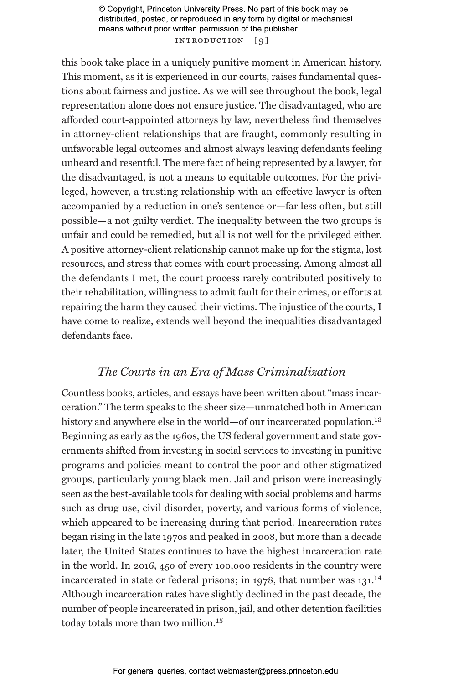this book take place in a uniquely punitive moment in American history. This moment, as it is experienced in our courts, raises fundamental questions about fairness and justice. As we will see throughout the book, legal representation alone does not ensure justice. The disadvantaged, who are afforded court-appointed attorneys by law, nevertheless find themselves in attorney-client relationships that are fraught, commonly resulting in unfavorable legal outcomes and almost always leaving defendants feeling unheard and resentful. The mere fact of being represented by a lawyer, for the disadvantaged, is not a means to equitable outcomes. For the privileged, however, a trusting relationship with an effective lawyer is often accompanied by a reduction in one's sentence or—far less often, but still possible—a not guilty verdict. The inequality between the two groups is unfair and could be remedied, but all is not well for the privileged either. A positive attorney-client relationship cannot make up for the stigma, lost resources, and stress that comes with court processing. Among almost all the defendants I met, the court process rarely contributed positively to their rehabilitation, willingness to admit fault for their crimes, or efforts at repairing the harm they caused their victims. The injustice of the courts, I have come to realize, extends well beyond the inequalities disadvantaged defendants face.

# *The Courts in an Era of Mass Criminalization*

Countless books, articles, and essays have been written about "mass incarceration." The term speaks to the sheer size—unmatched both in American history and anywhere else in the world—of our incarcerated population.<sup>13</sup> Beginning as early as the 1960s, the US federal government and state governments shifted from investing in social services to investing in punitive programs and policies meant to control the poor and other stigmatized groups, particularly young black men. Jail and prison were increasingly seen as the best-available tools for dealing with social problems and harms such as drug use, civil disorder, poverty, and various forms of violence, which appeared to be increasing during that period. Incarceration rates began rising in the late 1970s and peaked in 2008, but more than a decade later, the United States continues to have the highest incarceration rate in the world. In 2016, 450 of every 100,000 residents in the country were incarcerated in state or federal prisons; in 1978, that number was  $131$ .<sup>14</sup> Although incarceration rates have slightly declined in the past decade, the number of people incarcerated in prison, jail, and other detention facilities today totals more than two million.15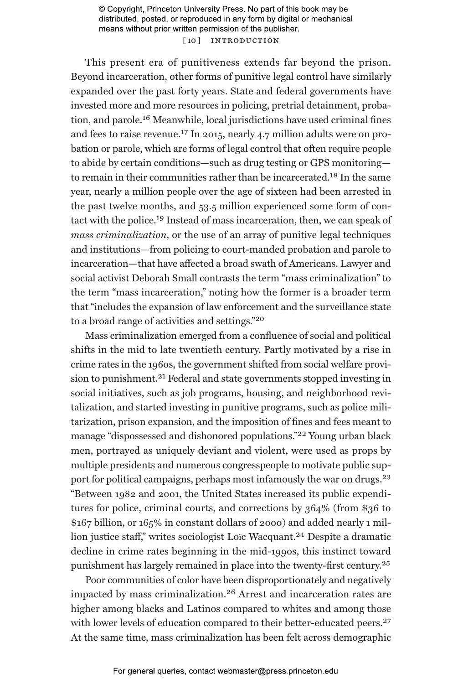[10<sup>]</sup> INTRODUCTION

This present era of punitiveness extends far beyond the prison. Beyond incarceration, other forms of punitive legal control have similarly expanded over the past forty years. State and federal governments have invested more and more resources in policing, pretrial detainment, probation, and parole.16 Meanwhile, local jurisdictions have used criminal fines and fees to raise revenue.<sup>17</sup> In 2015, nearly 4.7 million adults were on probation or parole, which are forms of legal control that often require people to abide by certain conditions—such as drug testing or GPS monitoring to remain in their communities rather than be incarcerated.18 In the same year, nearly a million people over the age of sixteen had been arrested in the past twelve months, and 53.5 million experienced some form of contact with the police.19 Instead of mass incarceration, then, we can speak of *mass criminalization*, or the use of an array of punitive legal techniques and institutions—from policing to court-manded probation and parole to incarceration—that have affected a broad swath of Americans. Lawyer and social activist Deborah Small contrasts the term "mass criminalization" to the term "mass incarceration," noting how the former is a broader term that "includes the expansion of law enforcement and the surveillance state to a broad range of activities and settings."20

Mass criminalization emerged from a confluence of social and political shifts in the mid to late twentieth century. Partly motivated by a rise in crime rates in the 1960s, the government shifted from social welfare provision to punishment.<sup>21</sup> Federal and state governments stopped investing in social initiatives, such as job programs, housing, and neighborhood revitalization, and started investing in punitive programs, such as police militarization, prison expansion, and the imposition of fines and fees meant to manage "dispossessed and dishonored populations."22 Young urban black men, portrayed as uniquely deviant and violent, were used as props by multiple presidents and numerous congresspeople to motivate public support for political campaigns, perhaps most infamously the war on drugs.<sup>23</sup> "Between 1982 and 2001, the United States increased its public expenditures for police, criminal courts, and corrections by 364% (from \$36 to \$167 billion, or 165% in constant dollars of 2000) and added nearly 1 million justice staff," writes sociologist Loïc Wacquant.<sup>24</sup> Despite a dramatic decline in crime rates beginning in the mid-1990s, this instinct toward punishment has largely remained in place into the twenty-first century.25

Poor communities of color have been disproportionately and negatively impacted by mass criminalization.26 Arrest and incarceration rates are higher among blacks and Latinos compared to whites and among those with lower levels of education compared to their better-educated peers.<sup>27</sup> At the same time, mass criminalization has been felt across demographic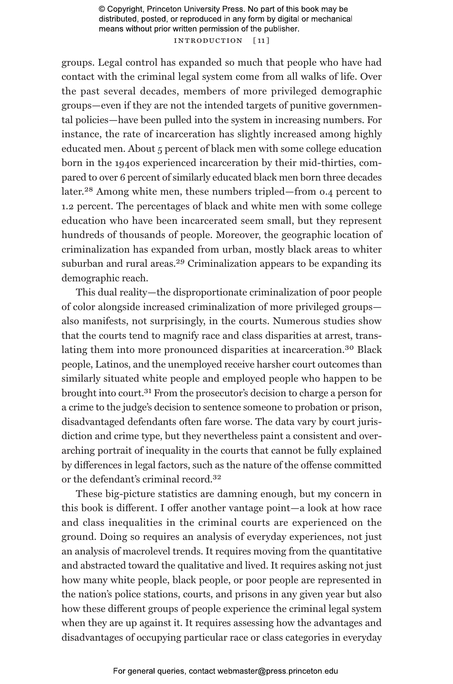Introduction [ 11 ]

groups. Legal control has expanded so much that people who have had contact with the criminal legal system come from all walks of life. Over the past several decades, members of more privileged demographic groups—even if they are not the intended targets of punitive governmental policies—have been pulled into the system in increasing numbers. For instance, the rate of incarceration has slightly increased among highly educated men. About 5 percent of black men with some college education born in the 1940s experienced incarceration by their mid-thirties, compared to over 6 percent of similarly educated black men born three decades later.28 Among white men, these numbers tripled—from 0.4 percent to 1.2 percent. The percentages of black and white men with some college education who have been incarcerated seem small, but they represent hundreds of thousands of people. Moreover, the geographic location of criminalization has expanded from urban, mostly black areas to whiter suburban and rural areas.29 Criminalization appears to be expanding its demographic reach.

This dual reality—the disproportionate criminalization of poor people of color alongside increased criminalization of more privileged groups also manifests, not surprisingly, in the courts. Numerous studies show that the courts tend to magnify race and class disparities at arrest, translating them into more pronounced disparities at incarceration.30 Black people, Latinos, and the unemployed receive harsher court outcomes than similarly situated white people and employed people who happen to be brought into court.31 From the prosecutor's decision to charge a person for a crime to the judge's decision to sentence someone to probation or prison, disadvantaged defendants often fare worse. The data vary by court jurisdiction and crime type, but they nevertheless paint a consistent and overarching portrait of inequality in the courts that cannot be fully explained by differences in legal factors, such as the nature of the offense committed or the defendant's criminal record.32

These big-picture statistics are damning enough, but my concern in this book is diferent. I offer another vantage point—a look at how race and class inequalities in the criminal courts are experienced on the ground. Doing so requires an analysis of everyday experiences, not just an analysis of macrolevel trends. It requires moving from the quantitative and abstracted toward the qualitative and lived. It requires asking not just how many white people, black people, or poor people are represented in the nation's police stations, courts, and prisons in any given year but also how these diferent groups of people experience the criminal legal system when they are up against it. It requires assessing how the advantages and disadvantages of occupying particular race or class categories in everyday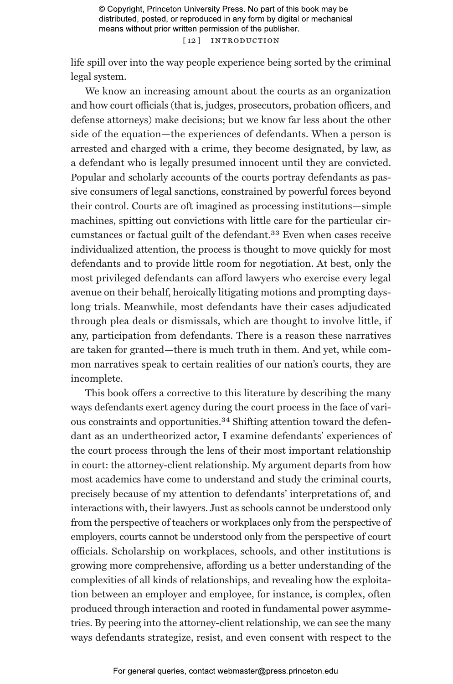life spill over into the way people experience being sorted by the criminal legal system.

We know an increasing amount about the courts as an organization and how court officials (that is, judges, prosecutors, probation officers, and defense attorneys) make decisions; but we know far less about the other side of the equation—the experiences of defendants. When a person is arrested and charged with a crime, they become designated, by law, as a defendant who is legally presumed innocent until they are convicted. Popular and scholarly accounts of the courts portray defendants as passive consumers of legal sanctions, constrained by powerful forces beyond their control. Courts are oft imagined as processing institutions—simple machines, spitting out convictions with little care for the particular circumstances or factual guilt of the defendant.33 Even when cases receive individualized attention, the process is thought to move quickly for most defendants and to provide little room for negotiation. At best, only the most privileged defendants can afford lawyers who exercise every legal avenue on their behalf, heroically litigating motions and prompting dayslong trials. Meanwhile, most defendants have their cases adjudicated through plea deals or dismissals, which are thought to involve little, if any, participation from defendants. There is a reason these narratives are taken for granted—there is much truth in them. And yet, while common narratives speak to certain realities of our nation's courts, they are incomplete.

This book offers a corrective to this literature by describing the many ways defendants exert agency during the court process in the face of various constraints and opportunities.34 Shifting attention toward the defendant as an undertheorized actor, I examine defendants' experiences of the court process through the lens of their most important relationship in court: the attorney-client relationship. My argument departs from how most academics have come to understand and study the criminal courts, precisely because of my attention to defendants' interpretations of, and interactions with, their lawyers. Just as schools cannot be understood only from the perspective of teachers or workplaces only from the perspective of employers, courts cannot be understood only from the perspective of court officials. Scholarship on workplaces, schools, and other institutions is growing more comprehensive, affording us a better understanding of the complexities of all kinds of relationships, and revealing how the exploitation between an employer and employee, for instance, is complex, often produced through interaction and rooted in fundamental power asymmetries. By peering into the attorney-client relationship, we can see the many ways defendants strategize, resist, and even consent with respect to the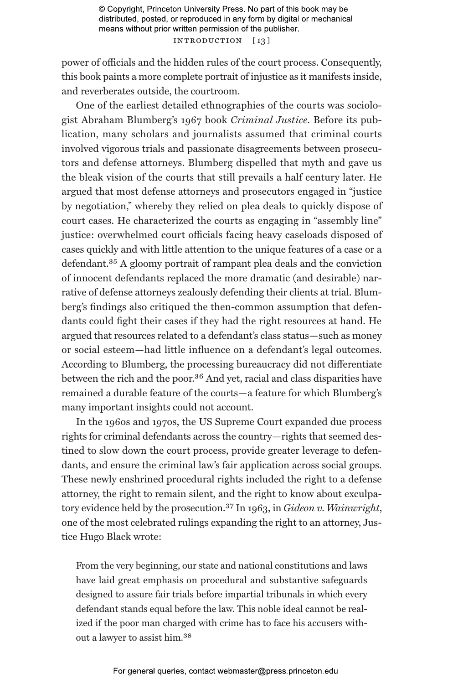power of officials and the hidden rules of the court process. Consequently, this book paints a more complete portrait of injustice as it manifests inside, and reverberates outside, the courtroom.

One of the earliest detailed ethnographies of the courts was sociologist Abraham Blumberg's 1967 book *Criminal Justice*. Before its publication, many scholars and journalists assumed that criminal courts involved vigorous trials and passionate disagreements between prosecutors and defense attorneys. Blumberg dispelled that myth and gave us the bleak vision of the courts that still prevails a half century later. He argued that most defense attorneys and prosecutors engaged in "justice by negotiation," whereby they relied on plea deals to quickly dispose of court cases. He characterized the courts as engaging in "assembly line" justice: overwhelmed court officials facing heavy caseloads disposed of cases quickly and with little attention to the unique features of a case or a defendant.35 A gloomy portrait of rampant plea deals and the conviction of innocent defendants replaced the more dramatic (and desirable) narrative of defense attorneys zealously defending their clients at trial. Blumberg's findings also critiqued the then-common assumption that defendants could fight their cases if they had the right resources at hand. He argued that resources related to a defendant's class status—such as money or social esteem—had little influence on a defendant's legal outcomes. According to Blumberg, the processing bureaucracy did not differentiate between the rich and the poor.<sup>36</sup> And yet, racial and class disparities have remained a durable feature of the courts—a feature for which Blumberg's many important insights could not account.

In the 1960s and 1970s, the US Supreme Court expanded due process rights for criminal defendants across the country—rights that seemed destined to slow down the court process, provide greater leverage to defendants, and ensure the criminal law's fair application across social groups. These newly enshrined procedural rights included the right to a defense attorney, the right to remain silent, and the right to know about exculpatory evidence held by the prosecution.37 In 1963, in *Gideon v. Wainwright*, one of the most celebrated rulings expanding the right to an attorney, Justice Hugo Black wrote:

From the very beginning, our state and national constitutions and laws have laid great emphasis on procedural and substantive safeguards designed to assure fair trials before impartial tribunals in which every defendant stands equal before the law. This noble ideal cannot be realized if the poor man charged with crime has to face his accusers without a lawyer to assist him.38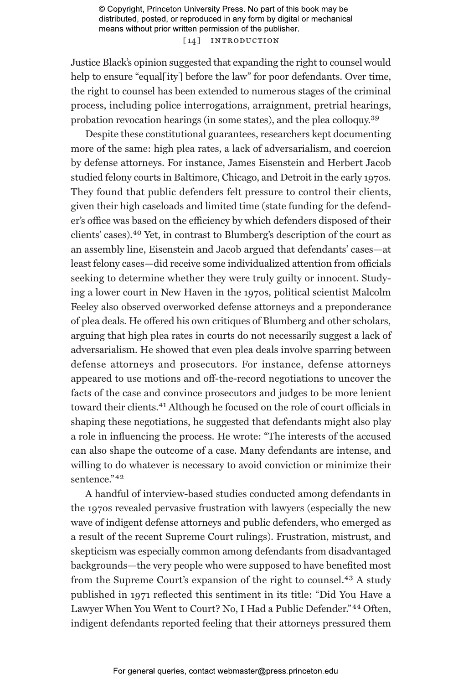[14] INTRODUCTION

Justice Black's opinion suggested that expanding the right to counsel would help to ensure "equal[ity] before the law" for poor defendants. Over time, the right to counsel has been extended to numerous stages of the criminal process, including police interrogations, arraignment, pretrial hearings, probation revocation hearings (in some states), and the plea colloquy.39

Despite these constitutional guarantees, researchers kept documenting more of the same: high plea rates, a lack of adversarialism, and coercion by defense attorneys. For instance, James Eisenstein and Herbert Jacob studied felony courts in Baltimore, Chicago, and Detroit in the early 1970s. They found that public defenders felt pressure to control their clients, given their high caseloads and limited time (state funding for the defender's office was based on the efficiency by which defenders disposed of their clients' cases).40 Yet, in contrast to Blumberg's description of the court as an assembly line, Eisenstein and Jacob argued that defendants' cases—at least felony cases—did receive some individualized attention from officials seeking to determine whether they were truly guilty or innocent. Studying a lower court in New Haven in the 1970s, political scientist Malcolm Feeley also observed overworked defense attorneys and a preponderance of plea deals. He offered his own critiques of Blumberg and other scholars, arguing that high plea rates in courts do not necessarily suggest a lack of adversarialism. He showed that even plea deals involve sparring between defense attorneys and prosecutors. For instance, defense attorneys appeared to use motions and off-the-record negotiations to uncover the facts of the case and convince prosecutors and judges to be more lenient toward their clients.<sup>41</sup> Although he focused on the role of court officials in shaping these negotiations, he suggested that defendants might also play a role in influencing the process. He wrote: "The interests of the accused can also shape the outcome of a case. Many defendants are intense, and willing to do whatever is necessary to avoid conviction or minimize their sentence."<sup>42</sup>

A handful of interview-based studies conducted among defendants in the 1970s revealed pervasive frustration with lawyers (especially the new wave of indigent defense attorneys and public defenders, who emerged as a result of the recent Supreme Court rulings). Frustration, mistrust, and skepticism was especially common among defendants from disadvantaged backgrounds—the very people who were supposed to have benefited most from the Supreme Court's expansion of the right to counsel.<sup>43</sup> A study published in 1971 reflected this sentiment in its title: "Did You Have a Lawyer When You Went to Court? No, I Had a Public Defender."<sup>44</sup> Often, indigent defendants reported feeling that their attorneys pressured them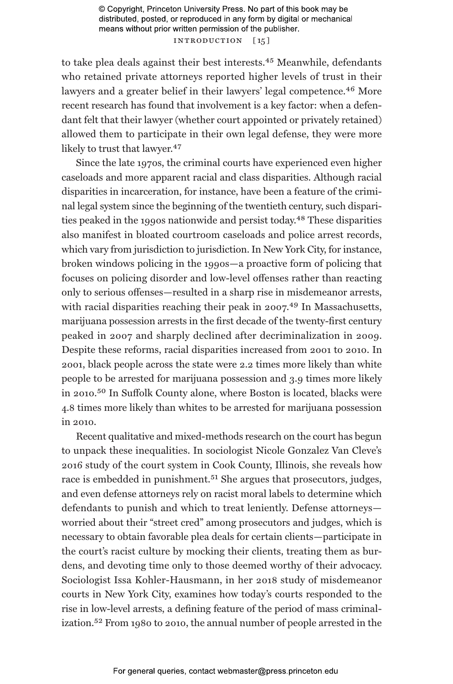to take plea deals against their best interests.<sup>45</sup> Meanwhile, defendants who retained private attorneys reported higher levels of trust in their lawyers and a greater belief in their lawyers' legal competence.<sup>46</sup> More recent research has found that involvement is a key factor: when a defen-

dant felt that their lawyer (whether court appointed or privately retained) allowed them to participate in their own legal defense, they were more likely to trust that lawyer.<sup>47</sup>

Since the late 1970s, the criminal courts have experienced even higher caseloads and more apparent racial and class disparities. Although racial disparities in incarceration, for instance, have been a feature of the criminal legal system since the beginning of the twentieth century, such disparities peaked in the 1990s nationwide and persist today.48 These disparities also manifest in bloated courtroom caseloads and police arrest records, which vary from jurisdiction to jurisdiction. In New York City, for instance, broken windows policing in the 1990s—a proactive form of policing that focuses on policing disorder and low-level offenses rather than reacting only to serious offenses—resulted in a sharp rise in misdemeanor arrests, with racial disparities reaching their peak in 2007.<sup>49</sup> In Massachusetts, marijuana possession arrests in the first decade of the twenty-first century peaked in 2007 and sharply declined after decriminalization in 2009. Despite these reforms, racial disparities increased from 2001 to 2010. In 2001, black people across the state were 2.2 times more likely than white people to be arrested for marijuana possession and 3.9 times more likely in 2010.50 In Suffolk County alone, where Boston is located, blacks were 4.8 times more likely than whites to be arrested for marijuana possession in 2010.

Recent qualitative and mixed-methods research on the court has begun to unpack these inequalities. In sociologist Nicole Gonzalez Van Cleve's 2016 study of the court system in Cook County, Illinois, she reveals how race is embedded in punishment.<sup>51</sup> She argues that prosecutors, judges, and even defense attorneys rely on racist moral labels to determine which defendants to punish and which to treat leniently. Defense attorneys worried about their "street cred" among prosecutors and judges, which is necessary to obtain favorable plea deals for certain clients—participate in the court's racist culture by mocking their clients, treating them as burdens, and devoting time only to those deemed worthy of their advocacy. Sociologist Issa Kohler-Hausmann, in her 2018 study of misdemeanor courts in New York City, examines how today's courts responded to the rise in low-level arrests, a defining feature of the period of mass criminalization.52 From 1980 to 2010, the annual number of people arrested in the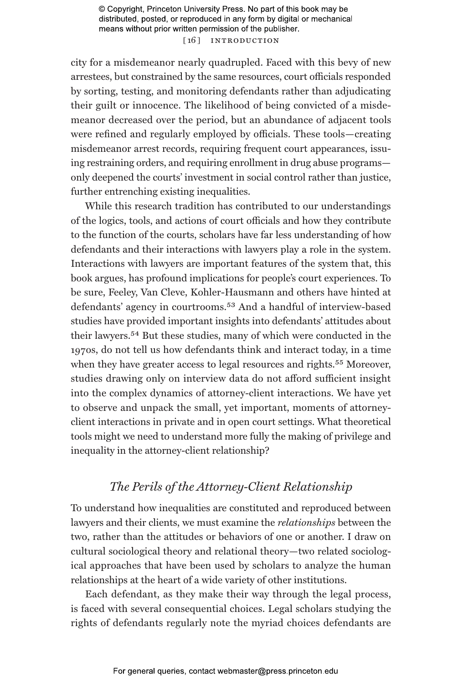city for a misdemeanor nearly quadrupled. Faced with this bevy of new arrestees, but constrained by the same resources, court officials responded by sorting, testing, and monitoring defendants rather than adjudicating their guilt or innocence. The likelihood of being convicted of a misdemeanor decreased over the period, but an abundance of adjacent tools were refined and regularly employed by officials. These tools—creating misdemeanor arrest records, requiring frequent court appearances, issuing restraining orders, and requiring enrollment in drug abuse programs only deepened the courts' investment in social control rather than justice, further entrenching existing inequalities.

While this research tradition has contributed to our understandings of the logics, tools, and actions of court officials and how they contribute to the function of the courts, scholars have far less understanding of how defendants and their interactions with lawyers play a role in the system. Interactions with lawyers are important features of the system that, this book argues, has profound implications for people's court experiences. To be sure, Feeley, Van Cleve, Kohler-Hausmann and others have hinted at defendants' agency in courtrooms.<sup>53</sup> And a handful of interview-based studies have provided important insights into defendants' attitudes about their lawyers.54 But these studies, many of which were conducted in the 1970s, do not tell us how defendants think and interact today, in a time when they have greater access to legal resources and rights.<sup>55</sup> Moreover, studies drawing only on interview data do not afford sufficient insight into the complex dynamics of attorney-client interactions. We have yet to observe and unpack the small, yet important, moments of attorneyclient interactions in private and in open court settings. What theoretical tools might we need to understand more fully the making of privilege and inequality in the attorney-client relationship?

# *The Perils of the Attorney-Client Relationship*

To understand how inequalities are constituted and reproduced between lawyers and their clients, we must examine the *relationships* between the two, rather than the attitudes or behaviors of one or another. I draw on cultural sociological theory and relational theory—two related sociological approaches that have been used by scholars to analyze the human relationships at the heart of a wide variety of other institutions.

Each defendant, as they make their way through the legal process, is faced with several consequential choices. Legal scholars studying the rights of defendants regularly note the myriad choices defendants are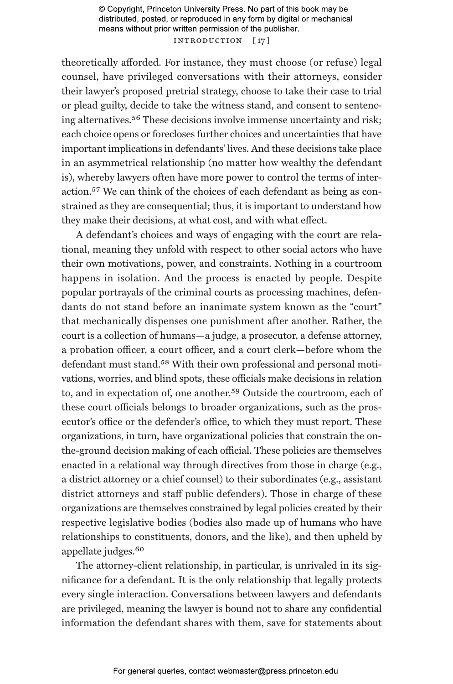Introduction [ 17 ]

theoretically afforded. For instance, they must choose (or refuse) legal counsel, have privileged conversations with their attorneys, consider their lawyer's proposed pretrial strategy, choose to take their case to trial or plead guilty, decide to take the witness stand, and consent to sentencing alternatives.56 These decisions involve immense uncertainty and risk; each choice opens or forecloses further choices and uncertainties that have important implications in defendants' lives. And these decisions take place in an asymmetrical relationship (no matter how wealthy the defendant is), whereby lawyers often have more power to control the terms of interaction.57 We can think of the choices of each defendant as being as constrained as they are consequential; thus, it is important to understand how they make their decisions, at what cost, and with what effect.

A defendant's choices and ways of engaging with the court are relational, meaning they unfold with respect to other social actors who have their own motivations, power, and constraints. Nothing in a courtroom happens in isolation. And the process is enacted by people. Despite popular portrayals of the criminal courts as processing machines, defendants do not stand before an inanimate system known as the "court" that mechanically dispenses one punishment after another. Rather, the court is a collection of humans—a judge, a prosecutor, a defense attorney, a probation officer, a court officer, and a court clerk—before whom the defendant must stand.58 With their own professional and personal motivations, worries, and blind spots, these officials make decisions in relation to, and in expectation of, one another.59 Outside the courtroom, each of these court officials belongs to broader organizations, such as the prosecutor's office or the defender's office, to which they must report. These organizations, in turn, have organizational policies that constrain the onthe-ground decision making of each official. These policies are themselves enacted in a relational way through directives from those in charge (e.g., a district attorney or a chief counsel) to their subordinates (e.g., assistant district attorneys and staff public defenders). Those in charge of these organizations are themselves constrained by legal policies created by their respective legislative bodies (bodies also made up of humans who have relationships to constituents, donors, and the like), and then upheld by appellate judges.<sup>60</sup>

The attorney-client relationship, in particular, is unrivaled in its significance for a defendant. It is the only relationship that legally protects every single interaction. Conversations between lawyers and defendants are privileged, meaning the lawyer is bound not to share any confidential information the defendant shares with them, save for statements about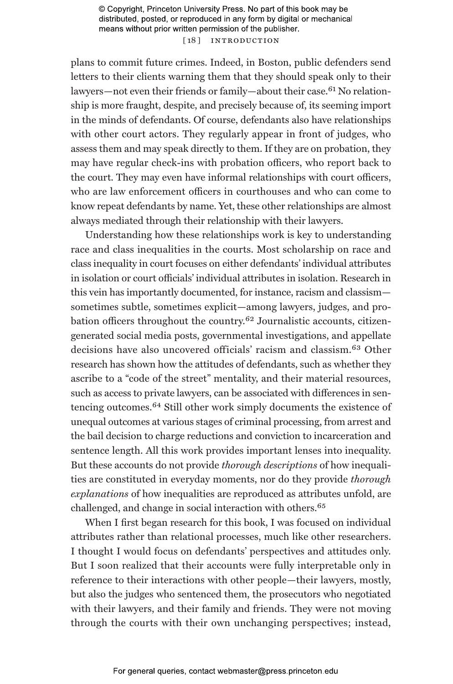[18] INTRODUCTION

plans to commit future crimes. Indeed, in Boston, public defenders send letters to their clients warning them that they should speak only to their lawyers—not even their friends or family—about their case.61 No relationship is more fraught, despite, and precisely because of, its seeming import in the minds of defendants. Of course, defendants also have relationships with other court actors. They regularly appear in front of judges, who assess them and may speak directly to them. If they are on probation, they may have regular check-ins with probation officers, who report back to the court. They may even have informal relationships with court officers, who are law enforcement officers in courthouses and who can come to know repeat defendants by name. Yet, these other relationships are almost always mediated through their relationship with their lawyers.

Understanding how these relationships work is key to understanding race and class inequalities in the courts. Most scholarship on race and class inequality in court focuses on either defendants' individual attributes in isolation or court officials' individual attributes in isolation. Research in this vein has importantly documented, for instance, racism and classism sometimes subtle, sometimes explicit—among lawyers, judges, and probation officers throughout the country.<sup>62</sup> Journalistic accounts, citizengenerated social media posts, governmental investigations, and appellate decisions have also uncovered officials' racism and classism.63 Other research has shown how the attitudes of defendants, such as whether they ascribe to a "code of the street" mentality, and their material resources, such as access to private lawyers, can be associated with differences in sentencing outcomes.64 Still other work simply documents the existence of unequal outcomes at various stages of criminal processing, from arrest and the bail decision to charge reductions and conviction to incarceration and sentence length. All this work provides important lenses into inequality. But these accounts do not provide *thorough descriptions* of how inequalities are constituted in everyday moments, nor do they provide *thorough explanations* of how inequalities are reproduced as attributes unfold, are challenged, and change in social interaction with others.<sup>65</sup>

When I first began research for this book, I was focused on individual attributes rather than relational processes, much like other researchers. I thought I would focus on defendants' perspectives and attitudes only. But I soon realized that their accounts were fully interpretable only in reference to their interactions with other people—their lawyers, mostly, but also the judges who sentenced them, the prosecutors who negotiated with their lawyers, and their family and friends. They were not moving through the courts with their own unchanging perspectives; instead,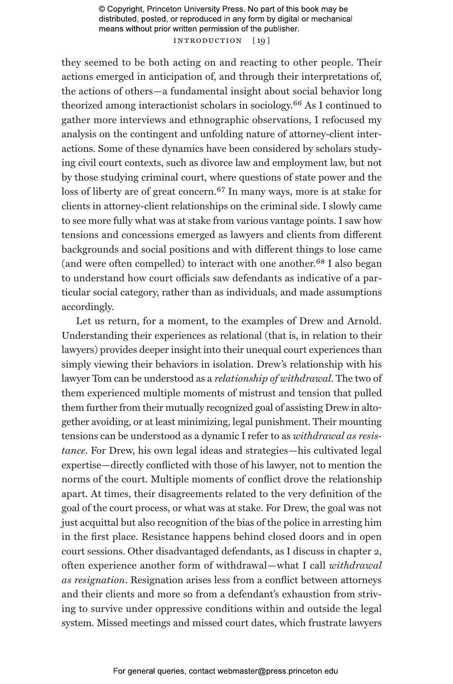INTRODUCTION [19]

they seemed to be both acting on and reacting to other people. Their actions emerged in anticipation of, and through their interpretations of, the actions of others—a fundamental insight about social behavior long theorized among interactionist scholars in sociology.66 As I continued to gather more interviews and ethnographic observations, I refocused my analysis on the contingent and unfolding nature of attorney-client interactions. Some of these dynamics have been considered by scholars studying civil court contexts, such as divorce law and employment law, but not by those studying criminal court, where questions of state power and the loss of liberty are of great concern.<sup>67</sup> In many ways, more is at stake for clients in attorney-client relationships on the criminal side. I slowly came to see more fully what was at stake from various vantage points. I saw how tensions and concessions emerged as lawyers and clients from diferent backgrounds and social positions and with diferent things to lose came (and were often compelled) to interact with one another.<sup>68</sup> I also began to understand how court officials saw defendants as indicative of a particular social category, rather than as individuals, and made assumptions accordingly.

Let us return, for a moment, to the examples of Drew and Arnold. Understanding their experiences as relational (that is, in relation to their lawyers) provides deeper insight into their unequal court experiences than simply viewing their behaviors in isolation. Drew's relationship with his lawyer Tom can be understood as a *relationship of withdrawal*. The two of them experienced multiple moments of mistrust and tension that pulled them further from their mutually recognized goal of assisting Drew in altogether avoiding, or at least minimizing, legal punishment. Their mounting tensions can be understood as a dynamic I refer to as *withdrawal as resistance*. For Drew, his own legal ideas and strategies—his cultivated legal expertise—directly conflicted with those of his lawyer, not to mention the norms of the court. Multiple moments of conflict drove the relationship apart. At times, their disagreements related to the very definition of the goal of the court process, or what was at stake. For Drew, the goal was not just acquittal but also recognition of the bias of the police in arresting him in the first place. Resistance happens behind closed doors and in open court sessions. Other disadvantaged defendants, as I discuss in chapter 2, often experience another form of withdrawal—what I call *withdrawal as resignation*. Resignation arises less from a conflict between attorneys and their clients and more so from a defendant's exhaustion from striving to survive under oppressive conditions within and outside the legal system. Missed meetings and missed court dates, which frustrate lawyers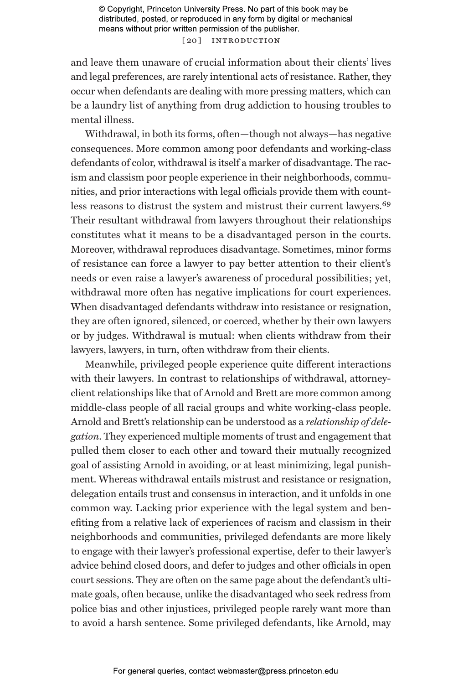and leave them unaware of crucial information about their clients' lives and legal preferences, are rarely intentional acts of resistance. Rather, they occur when defendants are dealing with more pressing matters, which can be a laundry list of anything from drug addiction to housing troubles to mental illness.

Withdrawal, in both its forms, often—though not always—has negative consequences. More common among poor defendants and working-class defendants of color, withdrawal is itself a marker of disadvantage. The racism and classism poor people experience in their neighborhoods, communities, and prior interactions with legal officials provide them with countless reasons to distrust the system and mistrust their current lawyers.<sup>69</sup> Their resultant withdrawal from lawyers throughout their relationships constitutes what it means to be a disadvantaged person in the courts. Moreover, withdrawal reproduces disadvantage. Sometimes, minor forms of resistance can force a lawyer to pay better attention to their client's needs or even raise a lawyer's awareness of procedural possibilities; yet, withdrawal more often has negative implications for court experiences. When disadvantaged defendants withdraw into resistance or resignation, they are often ignored, silenced, or coerced, whether by their own lawyers or by judges. Withdrawal is mutual: when clients withdraw from their lawyers, lawyers, in turn, often withdraw from their clients.

Meanwhile, privileged people experience quite diferent interactions with their lawyers. In contrast to relationships of withdrawal, attorneyclient relationships like that of Arnold and Brett are more common among middle-class people of all racial groups and white working-class people. Arnold and Brett's relationship can be understood as a *relationship of delegation*. They experienced multiple moments of trust and engagement that pulled them closer to each other and toward their mutually recognized goal of assisting Arnold in avoiding, or at least minimizing, legal punishment. Whereas withdrawal entails mistrust and resistance or resignation, delegation entails trust and consensus in interaction, and it unfolds in one common way. Lacking prior experience with the legal system and benefiting from a relative lack of experiences of racism and classism in their neighborhoods and communities, privileged defendants are more likely to engage with their lawyer's professional expertise, defer to their lawyer's advice behind closed doors, and defer to judges and other officials in open court sessions. They are often on the same page about the defendant's ultimate goals, often because, unlike the disadvantaged who seek redress from police bias and other injustices, privileged people rarely want more than to avoid a harsh sentence. Some privileged defendants, like Arnold, may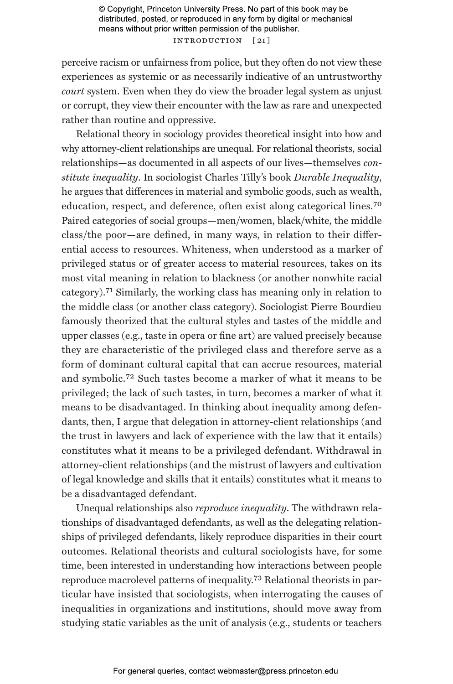perceive racism or unfairness from police, but they often do not view these experiences as systemic or as necessarily indicative of an untrustworthy *court* system. Even when they do view the broader legal system as unjust or corrupt, they view their encounter with the law as rare and unexpected rather than routine and oppressive.

Relational theory in sociology provides theoretical insight into how and why attorney-client relationships are unequal. For relational theorists, social relationships—as documented in all aspects of our lives—themselves *constitute inequality*. In sociologist Charles Tilly's book *Durable Inequality*, he argues that differences in material and symbolic goods, such as wealth, education, respect, and deference, often exist along categorical lines.70 Paired categories of social groups—men/women, black/white, the middle class/the poor—are defined, in many ways, in relation to their differential access to resources. Whiteness, when understood as a marker of privileged status or of greater access to material resources, takes on its most vital meaning in relation to blackness (or another nonwhite racial category).71 Similarly, the working class has meaning only in relation to the middle class (or another class category). Sociologist Pierre Bourdieu famously theorized that the cultural styles and tastes of the middle and upper classes (e.g., taste in opera or fine art) are valued precisely because they are characteristic of the privileged class and therefore serve as a form of dominant cultural capital that can accrue resources, material and symbolic.72 Such tastes become a marker of what it means to be privileged; the lack of such tastes, in turn, becomes a marker of what it means to be disadvantaged. In thinking about inequality among defendants, then, I argue that delegation in attorney-client relationships (and the trust in lawyers and lack of experience with the law that it entails) constitutes what it means to be a privileged defendant. Withdrawal in attorney-client relationships (and the mistrust of lawyers and cultivation of legal knowledge and skills that it entails) constitutes what it means to be a disadvantaged defendant.

Unequal relationships also *reproduce inequality*. The withdrawn relationships of disadvantaged defendants, as well as the delegating relationships of privileged defendants, likely reproduce disparities in their court outcomes. Relational theorists and cultural sociologists have, for some time, been interested in understanding how interactions between people reproduce macrolevel patterns of inequality.73 Relational theorists in particular have insisted that sociologists, when interrogating the causes of inequalities in organizations and institutions, should move away from studying static variables as the unit of analysis (e.g., students or teachers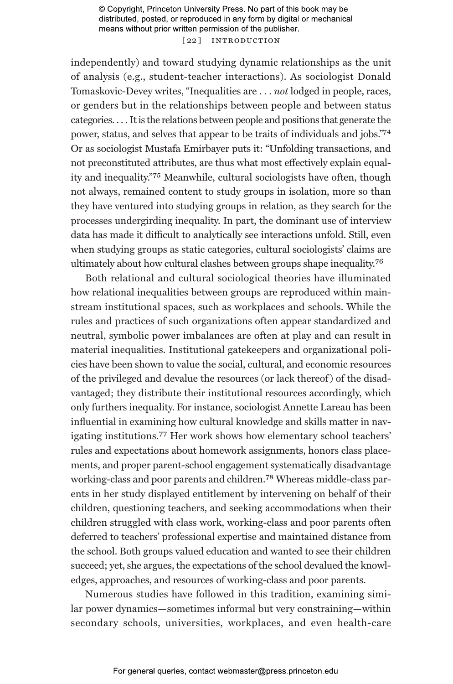[ 22 ] Introduction

independently) and toward studying dynamic relationships as the unit of analysis (e.g., student-teacher interactions). As sociologist Donald Tomaskovic-Devey writes, "Inequalities are . . . *not* lodged in people, races, or genders but in the relationships between people and between status categories. . . . It is the relations between people and positions that generate the power, status, and selves that appear to be traits of individuals and jobs."74 Or as sociologist Mustafa Emirbayer puts it: "Unfolding transactions, and not preconstituted attributes, are thus what most effectively explain equality and inequality."75 Meanwhile, cultural sociologists have often, though not always, remained content to study groups in isolation, more so than they have ventured into studying groups in relation, as they search for the processes undergirding inequality. In part, the dominant use of interview data has made it difficult to analytically see interactions unfold. Still, even when studying groups as static categories, cultural sociologists' claims are ultimately about how cultural clashes between groups shape inequality.76

Both relational and cultural sociological theories have illuminated how relational inequalities between groups are reproduced within mainstream institutional spaces, such as workplaces and schools. While the rules and practices of such organizations often appear standardized and neutral, symbolic power imbalances are often at play and can result in material inequalities. Institutional gatekeepers and organizational policies have been shown to value the social, cultural, and economic resources of the privileged and devalue the resources (or lack thereof) of the disadvantaged; they distribute their institutional resources accordingly, which only furthers inequality. For instance, sociologist Annette Lareau has been influential in examining how cultural knowledge and skills matter in navigating institutions.77 Her work shows how elementary school teachers' rules and expectations about homework assignments, honors class placements, and proper parent-school engagement systematically disadvantage working-class and poor parents and children.78 Whereas middle-class parents in her study displayed entitlement by intervening on behalf of their children, questioning teachers, and seeking accommodations when their children struggled with class work, working-class and poor parents often deferred to teachers' professional expertise and maintained distance from the school. Both groups valued education and wanted to see their children succeed; yet, she argues, the expectations of the school devalued the knowledges, approaches, and resources of working-class and poor parents.

Numerous studies have followed in this tradition, examining similar power dynamics—sometimes informal but very constraining—within secondary schools, universities, workplaces, and even health-care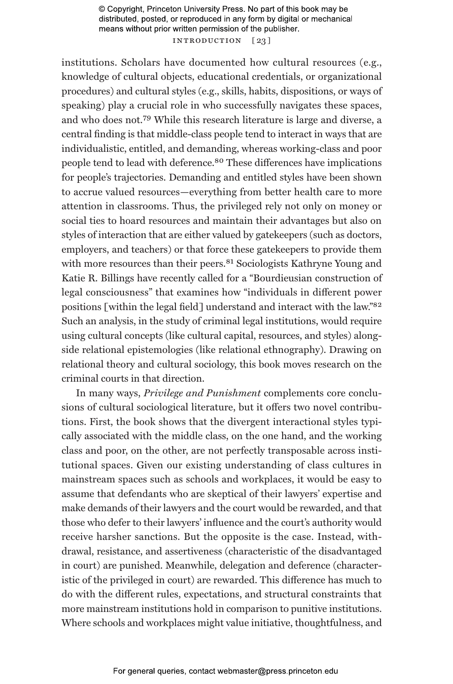Introduction [ 23 ]

institutions. Scholars have documented how cultural resources (e.g., knowledge of cultural objects, educational credentials, or organizational procedures) and cultural styles (e.g., skills, habits, dispositions, or ways of speaking) play a crucial role in who successfully navigates these spaces, and who does not.79 While this research literature is large and diverse, a central finding is that middle-class people tend to interact in ways that are individualistic, entitled, and demanding, whereas working-class and poor people tend to lead with deference.80 These differences have implications for people's trajectories. Demanding and entitled styles have been shown to accrue valued resources—everything from better health care to more attention in classrooms. Thus, the privileged rely not only on money or social ties to hoard resources and maintain their advantages but also on styles of interaction that are either valued by gatekeepers (such as doctors, employers, and teachers) or that force these gatekeepers to provide them with more resources than their peers.<sup>81</sup> Sociologists Kathryne Young and Katie R. Billings have recently called for a "Bourdieusian construction of legal consciousness" that examines how "individuals in diferent power positions [within the legal field] understand and interact with the law."82 Such an analysis, in the study of criminal legal institutions, would require using cultural concepts (like cultural capital, resources, and styles) alongside relational epistemologies (like relational ethnography). Drawing on relational theory and cultural sociology, this book moves research on the criminal courts in that direction.

In many ways, *Privilege and Punishment* complements core conclusions of cultural sociological literature, but it offers two novel contributions. First, the book shows that the divergent interactional styles typically associated with the middle class, on the one hand, and the working class and poor, on the other, are not perfectly transposable across institutional spaces. Given our existing understanding of class cultures in mainstream spaces such as schools and workplaces, it would be easy to assume that defendants who are skeptical of their lawyers' expertise and make demands of their lawyers and the court would be rewarded, and that those who defer to their lawyers' influence and the court's authority would receive harsher sanctions. But the opposite is the case. Instead, withdrawal, resistance, and assertiveness (characteristic of the disadvantaged in court) are punished. Meanwhile, delegation and deference (characteristic of the privileged in court) are rewarded. This difference has much to do with the diferent rules, expectations, and structural constraints that more mainstream institutions hold in comparison to punitive institutions. Where schools and workplaces might value initiative, thoughtfulness, and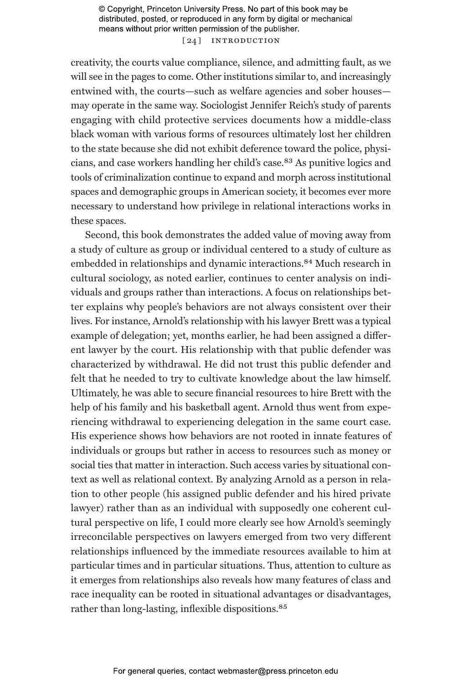[ 24 ] Introduction

creativity, the courts value compliance, silence, and admitting fault, as we will see in the pages to come. Other institutions similar to, and increasingly entwined with, the courts—such as welfare agencies and sober houses may operate in the same way. Sociologist Jennifer Reich's study of parents engaging with child protective services documents how a middle-class black woman with various forms of resources ultimately lost her children to the state because she did not exhibit deference toward the police, physicians, and case workers handling her child's case.83 As punitive logics and tools of criminalization continue to expand and morph across institutional spaces and demographic groups in American society, it becomes ever more necessary to understand how privilege in relational interactions works in these spaces.

Second, this book demonstrates the added value of moving away from a study of culture as group or individual centered to a study of culture as embedded in relationships and dynamic interactions.84 Much research in cultural sociology, as noted earlier, continues to center analysis on individuals and groups rather than interactions. A focus on relationships better explains why people's behaviors are not always consistent over their lives. For instance, Arnold's relationship with his lawyer Brett was a typical example of delegation; yet, months earlier, he had been assigned a diferent lawyer by the court. His relationship with that public defender was characterized by withdrawal. He did not trust this public defender and felt that he needed to try to cultivate knowledge about the law himself. Ultimately, he was able to secure financial resources to hire Brett with the help of his family and his basketball agent. Arnold thus went from experiencing withdrawal to experiencing delegation in the same court case. His experience shows how behaviors are not rooted in innate features of individuals or groups but rather in access to resources such as money or social ties that matter in interaction. Such access varies by situational context as well as relational context. By analyzing Arnold as a person in relation to other people (his assigned public defender and his hired private lawyer) rather than as an individual with supposedly one coherent cultural perspective on life, I could more clearly see how Arnold's seemingly irreconcilable perspectives on lawyers emerged from two very diferent relationships influenced by the immediate resources available to him at particular times and in particular situations. Thus, attention to culture as it emerges from relationships also reveals how many features of class and race inequality can be rooted in situational advantages or disadvantages, rather than long-lasting, inflexible dispositions.<sup>85</sup>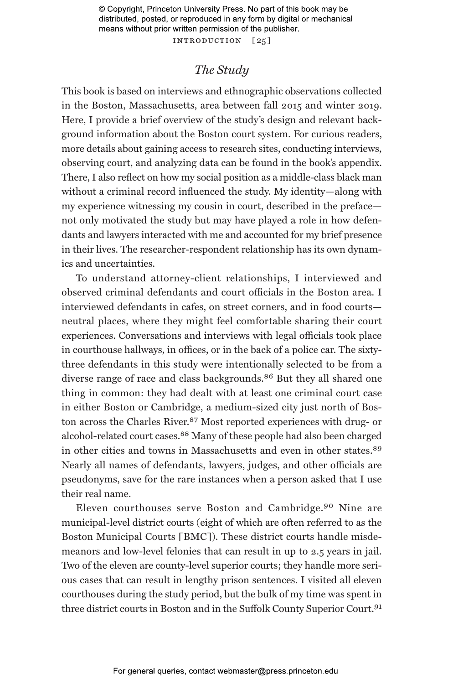INTRODUCTION [25]

# *The Study*

This book is based on interviews and ethnographic observations collected in the Boston, Massachusetts, area between fall 2015 and winter 2019. Here, I provide a brief overview of the study's design and relevant background information about the Boston court system. For curious readers, more details about gaining access to research sites, conducting interviews, observing court, and analyzing data can be found in the book's appendix. There, I also reflect on how my social position as a middle-class black man without a criminal record influenced the study. My identity—along with my experience witnessing my cousin in court, described in the preface not only motivated the study but may have played a role in how defendants and lawyers interacted with me and accounted for my brief presence in their lives. The researcher-respondent relationship has its own dynamics and uncertainties.

To understand attorney-client relationships, I interviewed and observed criminal defendants and court officials in the Boston area. I interviewed defendants in cafes, on street corners, and in food courts neutral places, where they might feel comfortable sharing their court experiences. Conversations and interviews with legal officials took place in courthouse hallways, in offices, or in the back of a police car. The sixtythree defendants in this study were intentionally selected to be from a diverse range of race and class backgrounds.<sup>86</sup> But they all shared one thing in common: they had dealt with at least one criminal court case in either Boston or Cambridge, a medium-sized city just north of Boston across the Charles River.<sup>87</sup> Most reported experiences with drug- or alcohol-related court cases.88 Many of these people had also been charged in other cities and towns in Massachusetts and even in other states.<sup>89</sup> Nearly all names of defendants, lawyers, judges, and other officials are pseudonyms, save for the rare instances when a person asked that I use their real name.

Eleven courthouses serve Boston and Cambridge.90 Nine are municipal-level district courts (eight of which are often referred to as the Boston Municipal Courts [BMC]). These district courts handle misdemeanors and low-level felonies that can result in up to 2.5 years in jail. Two of the eleven are county-level superior courts; they handle more serious cases that can result in lengthy prison sentences. I visited all eleven courthouses during the study period, but the bulk of my time was spent in three district courts in Boston and in the Suffolk County Superior Court.<sup>91</sup>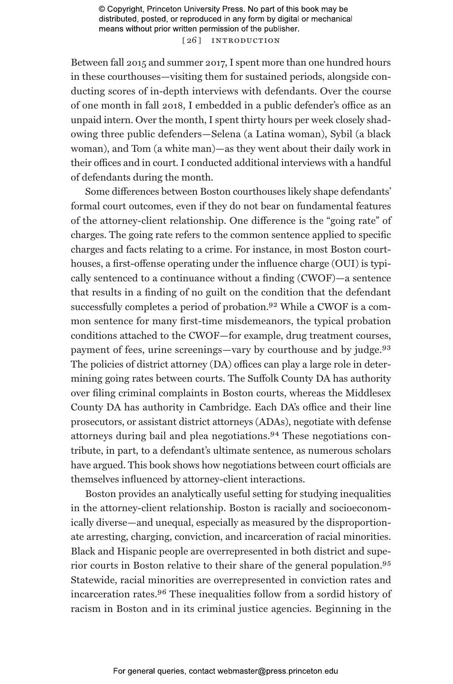[26] INTRODUCTION

Between fall 2015 and summer 2017, I spent more than one hundred hours in these courthouses—visiting them for sustained periods, alongside conducting scores of in-depth interviews with defendants. Over the course of one month in fall 2018, I embedded in a public defender's office as an unpaid intern. Over the month, I spent thirty hours per week closely shadowing three public defenders—Selena (a Latina woman), Sybil (a black woman), and Tom (a white man)—as they went about their daily work in their offices and in court. I conducted additional interviews with a handful of defendants during the month.

Some differences between Boston courthouses likely shape defendants' formal court outcomes, even if they do not bear on fundamental features of the attorney-client relationship. One difference is the "going rate" of charges. The going rate refers to the common sentence applied to specific charges and facts relating to a crime. For instance, in most Boston courthouses, a first-offense operating under the influence charge (OUI) is typically sentenced to a continuance without a finding (CWOF)—a sentence that results in a finding of no guilt on the condition that the defendant successfully completes a period of probation.<sup>92</sup> While a CWOF is a common sentence for many first-time misdemeanors, the typical probation conditions attached to the CWOF—for example, drug treatment courses, payment of fees, urine screenings—vary by courthouse and by judge.93 The policies of district attorney (DA) offices can play a large role in determining going rates between courts. The Suffolk County DA has authority over filing criminal complaints in Boston courts, whereas the Middlesex County DA has authority in Cambridge. Each DA's office and their line prosecutors, or assistant district attorneys (ADAs), negotiate with defense attorneys during bail and plea negotiations.94 These negotiations contribute, in part, to a defendant's ultimate sentence, as numerous scholars have argued. This book shows how negotiations between court officials are themselves influenced by attorney-client interactions.

Boston provides an analytically useful setting for studying inequalities in the attorney-client relationship. Boston is racially and socioeconomically diverse—and unequal, especially as measured by the disproportionate arresting, charging, conviction, and incarceration of racial minorities. Black and Hispanic people are overrepresented in both district and superior courts in Boston relative to their share of the general population.95 Statewide, racial minorities are overrepresented in conviction rates and incarceration rates.96 These inequalities follow from a sordid history of racism in Boston and in its criminal justice agencies. Beginning in the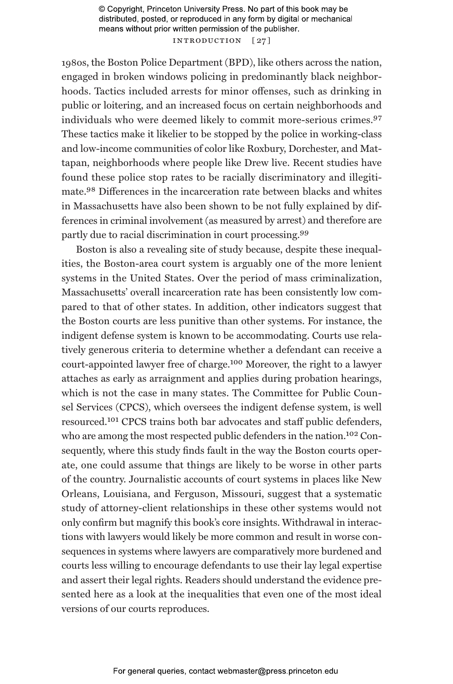INTRODUCTION [27]

1980s, the Boston Police Department (BPD), like others across the nation, engaged in broken windows policing in predominantly black neighborhoods. Tactics included arrests for minor offenses, such as drinking in public or loitering, and an increased focus on certain neighborhoods and individuals who were deemed likely to commit more-serious crimes.97 These tactics make it likelier to be stopped by the police in working-class and low-income communities of color like Roxbury, Dorchester, and Mattapan, neighborhoods where people like Drew live. Recent studies have found these police stop rates to be racially discriminatory and illegitimate.98 Differences in the incarceration rate between blacks and whites in Massachusetts have also been shown to be not fully explained by differences in criminal involvement (as measured by arrest) and therefore are partly due to racial discrimination in court processing.99

Boston is also a revealing site of study because, despite these inequalities, the Boston-area court system is arguably one of the more lenient systems in the United States. Over the period of mass criminalization, Massachusetts' overall incarceration rate has been consistently low compared to that of other states. In addition, other indicators suggest that the Boston courts are less punitive than other systems. For instance, the indigent defense system is known to be accommodating. Courts use relatively generous criteria to determine whether a defendant can receive a court-appointed lawyer free of charge.100 Moreover, the right to a lawyer attaches as early as arraignment and applies during probation hearings, which is not the case in many states. The Committee for Public Counsel Services (CPCS), which oversees the indigent defense system, is well resourced.101 CPCS trains both bar advocates and staff public defenders, who are among the most respected public defenders in the nation.<sup>102</sup> Consequently, where this study finds fault in the way the Boston courts operate, one could assume that things are likely to be worse in other parts of the country. Journalistic accounts of court systems in places like New Orleans, Louisiana, and Ferguson, Missouri, suggest that a systematic study of attorney-client relationships in these other systems would not only confirm but magnify this book's core insights. Withdrawal in interactions with lawyers would likely be more common and result in worse consequences in systems where lawyers are comparatively more burdened and courts less willing to encourage defendants to use their lay legal expertise and assert their legal rights. Readers should understand the evidence presented here as a look at the inequalities that even one of the most ideal versions of our courts reproduces.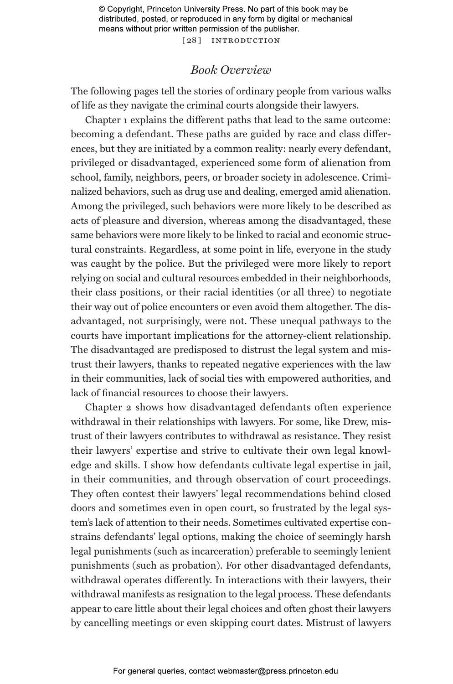[28] INTRODUCTION

## *Book Overview*

The following pages tell the stories of ordinary people from various walks of life as they navigate the criminal courts alongside their lawyers.

Chapter 1 explains the diferent paths that lead to the same outcome: becoming a defendant. These paths are guided by race and class differences, but they are initiated by a common reality: nearly every defendant, privileged or disadvantaged, experienced some form of alienation from school, family, neighbors, peers, or broader society in adolescence. Criminalized behaviors, such as drug use and dealing, emerged amid alienation. Among the privileged, such behaviors were more likely to be described as acts of pleasure and diversion, whereas among the disadvantaged, these same behaviors were more likely to be linked to racial and economic structural constraints. Regardless, at some point in life, everyone in the study was caught by the police. But the privileged were more likely to report relying on social and cultural resources embedded in their neighborhoods, their class positions, or their racial identities (or all three) to negotiate their way out of police encounters or even avoid them altogether. The disadvantaged, not surprisingly, were not. These unequal pathways to the courts have important implications for the attorney-client relationship. The disadvantaged are predisposed to distrust the legal system and mistrust their lawyers, thanks to repeated negative experiences with the law in their communities, lack of social ties with empowered authorities, and lack of financial resources to choose their lawyers.

Chapter 2 shows how disadvantaged defendants often experience withdrawal in their relationships with lawyers. For some, like Drew, mistrust of their lawyers contributes to withdrawal as resistance. They resist their lawyers' expertise and strive to cultivate their own legal knowledge and skills. I show how defendants cultivate legal expertise in jail, in their communities, and through observation of court proceedings. They often contest their lawyers' legal recommendations behind closed doors and sometimes even in open court, so frustrated by the legal system's lack of attention to their needs. Sometimes cultivated expertise constrains defendants' legal options, making the choice of seemingly harsh legal punishments (such as incarceration) preferable to seemingly lenient punishments (such as probation). For other disadvantaged defendants, withdrawal operates differently. In interactions with their lawyers, their withdrawal manifests as resignation to the legal process. These defendants appear to care little about their legal choices and often ghost their lawyers by cancelling meetings or even skipping court dates. Mistrust of lawyers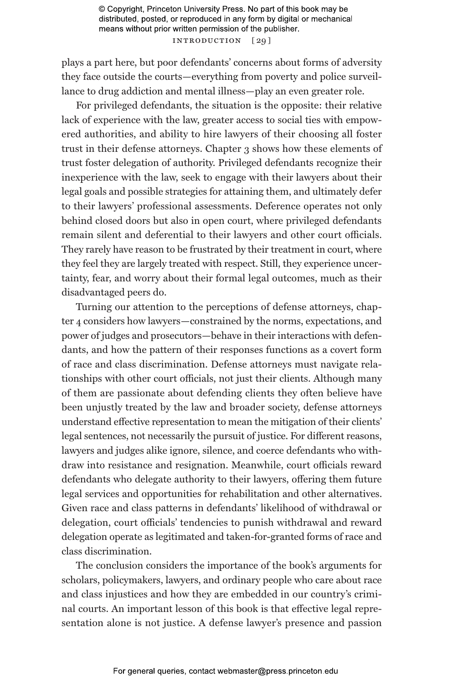plays a part here, but poor defendants' concerns about forms of adversity they face outside the courts—everything from poverty and police surveillance to drug addiction and mental illness—play an even greater role.

For privileged defendants, the situation is the opposite: their relative lack of experience with the law, greater access to social ties with empowered authorities, and ability to hire lawyers of their choosing all foster trust in their defense attorneys. Chapter 3 shows how these elements of trust foster delegation of authority. Privileged defendants recognize their inexperience with the law, seek to engage with their lawyers about their legal goals and possible strategies for attaining them, and ultimately defer to their lawyers' professional assessments. Deference operates not only behind closed doors but also in open court, where privileged defendants remain silent and deferential to their lawyers and other court officials. They rarely have reason to be frustrated by their treatment in court, where they feel they are largely treated with respect. Still, they experience uncertainty, fear, and worry about their formal legal outcomes, much as their disadvantaged peers do.

Turning our attention to the perceptions of defense attorneys, chapter 4 considers how lawyers—constrained by the norms, expectations, and power of judges and prosecutors—behave in their interactions with defendants, and how the pattern of their responses functions as a covert form of race and class discrimination. Defense attorneys must navigate relationships with other court officials, not just their clients. Although many of them are passionate about defending clients they often believe have been unjustly treated by the law and broader society, defense attorneys understand effective representation to mean the mitigation of their clients' legal sentences, not necessarily the pursuit of justice. For diferent reasons, lawyers and judges alike ignore, silence, and coerce defendants who withdraw into resistance and resignation. Meanwhile, court officials reward defendants who delegate authority to their lawyers, offering them future legal services and opportunities for rehabilitation and other alternatives. Given race and class patterns in defendants' likelihood of withdrawal or delegation, court officials' tendencies to punish withdrawal and reward delegation operate as legitimated and taken-for-granted forms of race and class discrimination.

The conclusion considers the importance of the book's arguments for scholars, policymakers, lawyers, and ordinary people who care about race and class injustices and how they are embedded in our country's criminal courts. An important lesson of this book is that effective legal representation alone is not justice. A defense lawyer's presence and passion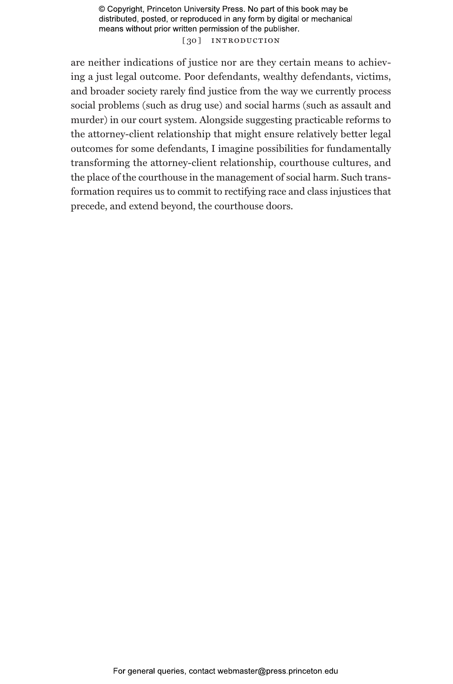are neither indications of justice nor are they certain means to achieving a just legal outcome. Poor defendants, wealthy defendants, victims, and broader society rarely find justice from the way we currently process social problems (such as drug use) and social harms (such as assault and murder) in our court system. Alongside suggesting practicable reforms to the attorney-client relationship that might ensure relatively better legal outcomes for some defendants, I imagine possibilities for fundamentally transforming the attorney-client relationship, courthouse cultures, and the place of the courthouse in the management of social harm. Such transformation requires us to commit to rectifying race and class injustices that precede, and extend beyond, the courthouse doors.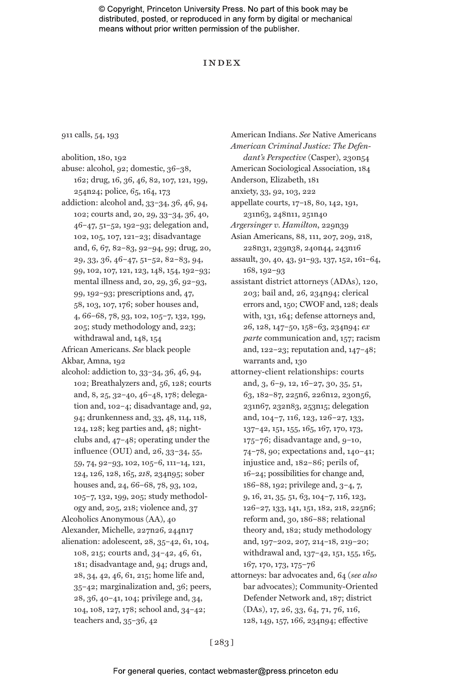## Index

911 calls, 54, 193

abolition, 180, 192

- abuse: alcohol, 92; domestic, 36–38, 162; drug, 16, 36, 46, 82, 107, 121, 199, 254n24; police, 65, 164, 173
- addiction: alcohol and, 33–34, 36, 46, 94, 102; courts and, 20, 29, 33–34, 36, 40, 46–47, 51–52, 192–93; delegation and, 102, 105, 107, 121–23; disadvantage and, 6, 67, 82–83, 92–94, 99; drug, 20, 29, 33, 36, 46–47, 51–52, 82–83, 94, 99, 102, 107, 121, 123, 148, 154, 192–93; mental illness and, 20, 29, 36, 92–93, 99, 192–93; prescriptions and, 47, 58, 103, 107, 176; sober houses and, 4, 66–68, 78, 93, 102, 105–7, 132, 199, 205; study methodology and, 223; withdrawal and, 148, 154

African Americans. *See* black people Akbar, Amna, 192

alcohol: addiction to, 33–34, 36, 46, 94, 102; Breathalyzers and, 56, 128; courts and, 8, 25, 32–40, 46–48, 178; delegation and, 102–4; disadvantage and, 92, 94; drunkenness and, 33, 48, 114, 118, 124, 128; keg parties and, 48; nightclubs and, 47–48; operating under the influence (OUI) and, 26, 33–34, 55, 59, 74, 92–93, 102, 105–6, 111–14, 121, 124, 126, 128, 165, *218*, 234n95; sober houses and, 24, 66-68, 78, 93, 102, 105–7, 132, 199, 205; study methodology and, 205, 218; violence and, 37

Alcoholics Anonymous (AA), 40 Alexander, Michelle, 227n26, 244n17

alienation: adolescent, 28, 35–42, 61, 104, 108, 215; courts and, 34–42, 46, 61, 181; disadvantage and, 94; drugs and, 28, 34, 42, 46, 61, 215; home life and, 35–42; marginalization and, 36; peers, 28, 36, 40–41, 104; privilege and, 34, 104, 108, 127, 178; school and, 34–42; teachers and, 35–36, 42

American Indians. *See* Native Americans *American Criminal Justice: The Defen*dant's Perspective (Casper), 230n54 American Sociological Association, 184 Anderson, Elizabeth, 181 anxiety, 33, 92, 103, 222 appellate courts, 17–18, 80, 142, 191, 231n63, 248n11, 251n40 *Argersinger v. Hamilton*, 229n39 Asian Americans, 88, 111, 207, 209, 218, 228n31, 239n38, 240n44, 243n16 assault, 30, 40, 43, 91–93, 137, 152, 161–64, 168, 192–93 assistant district attorneys (ADAs), 120, 203; bail and, 26, 234n94; clerical errors and, 150; CWOF and, 128; deals with, 131, 164; defense attorneys and, 26, 128, 147–50, 158–63, 234n94; *ex parte* communication and, 157; racism and, 122–23; reputation and, 147–48; warrants and, 130 attorney-client relationships: courts and, 3, 6–9, 12, 16–27, 30, 35, 51, 63, 182–87, 225n6, 226n12, 230n56, 231n67, 232n83, 253n15; delegation and, 104–7, 116, 123, 126–27, 133, 137–42, 151, 155, 165, 167, 170, 173, 175–76; disadvantage and, 9–10, 74–78, 90; expectations and, 140–41; injustice and, 182–86; perils of, 16–24; possibilities for change and, 186–88, 192; privilege and, 3–4, 7, 9, 16, 21, 35, 51, 63, 104–7, 116, 123, 126–27, 133, 141, 151, 182, 218, 225n6; reform and, 30, 186–88; relational theory and, 182; study methodology and, 197–202, 207, 214–18, 219–20; withdrawal and, 137–42, 151, 155, 165, 167, 170, 173, 175–76

attorneys: bar advocates and, 64 (*see also* bar advocates); Community-Oriented Defender Network and, 187; district (DAs), 17, 26, 33, 64, 71, 76, 116, 128, 149, 157, 166, 234n94; effective

[ 283 ]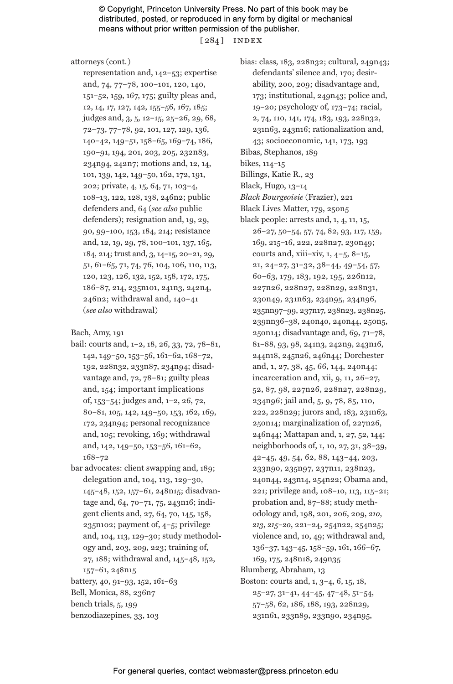[ 284 ] index

#### attorneys (cont.)

representation and, 142–53; expertise and, 74, 77–78, 100–101, 120, 140, 151–52, 159, 167, 175; guilty pleas and, 12, 14, 17, 127, 142, 155–56, 167, 185; judges and, 3, 5, 12–15, 25–26, 29, 68, 72–73, 77–78, 92, 101, 127, 129, 136, 140–42, 149–51, 158–65, 169–74, 186, 190–91, 194, 201, 203, 205, 232n83, 234n94, 242n7; motions and, 12, 14, 101, 139, 142, 149–50, 162, 172, 191, 202; private, 4, 15, 64, 71, 103–4, 108–13, 122, 128, 138, 246n2; public defenders and, 64 (*see also* public defenders); resignation and, 19, 29, 90, 99–100, 153, 184, 214; resistance and, 12, 19, 29, 78, 100–101, 137, 165, 184, 214; trust and, 3, 14–15, 20–21, 29, 51, 61–65, 71, 74, 76, 104, 106, 110, 113, 120, 123, 126, 132, 152, 158, 172, 175, 186–87, 214, 235n101, 241n3, 242n4, 246n2; withdrawal and, 140–41 (*see also* withdrawal)

Bach, Amy, 191

- bail: courts and, 1–2, 18, 26, 33, 72, 78–81, 142, 149–50, 153–56, 161–62, 168–72, 192, 228n32, 233n87, 234n94; disadvantage and, 72, 78–81; guilty pleas and, 154; important implications of, 153–54; judges and, 1–2, 26, 72, 80–81, 105, 142, 149–50, 153, 162, 169, 172, 234n94; personal recognizance and, 105; revoking, 169; withdrawal and, 142, 149–50, 153–56, 161–62, 168–72
- bar advocates: client swapping and, 189; delegation and, 104, 113, 129–30, 145–48, 152, 157–61, 248n15; disadvantage and, 64, 70–71, 75, 243n16; indigent clients and, 27, 64, 70, 145, 158, 235n102; payment of, 4–5; privilege and, 104, 113, 129–30; study methodology and, 203, 209, 223; training of, 27, 188; withdrawal and, 145–48, 152, 157–61, 248n15
- battery, 40, 91–93, 152, 161–63 Bell, Monica, 88, 236n7 bench trials, 5, 199 benzodiazepines, 33, 103

bias: class, 183, 228n32; cultural, 249n43; defendants' silence and, 170; desirability, 200, 209; disadvantage and, 173; institutional, 249n43; police and, 19–20; psychology of, 173–74; racial, 2, 74, 110, 141, 174, 183, 193, 228n32, 231n63, 243n16; rationalization and, 43; socioeconomic, 141, 173, 193 Bibas, Stephanos, 189 bikes, 114–15 Billings, Katie R., 23 Black, Hugo, 13–14 *Black Bourgeoisie* (Frazier), 221 Black Lives Matter, 179, 250n5 black people: arrests and, 1, 4, 11, 15, 26–27, 50–54, 57, 74, 82, 93, 117, 159, 169, 215–16, 222, 228n27, 230n49; courts and, xiii–xiv, 1, 4–5, 8–15, 21, 24–27, 31–32, 38–44, 49–54, 57, 60–63, 179, 183, 192, 195, 226n12, 227n26, 228n27, 228n29, 228n31, 230n49, 231n63, 234n95, 234n96, 235nn97–99, 237n17, 238n23, 238n25, 239nn36–38, 240n40, 240n44, 250n5, 250n14; disadvantage and, 69, 71–78, 81–88, 93, 98, 241n3, 242n9, 243n16, 244n18, 245n26, 246n44; Dorchester and, 1, 27, 38, 45, 66, 144, 240n44; incarceration and, xii, 9, 11, 26–27, 52, 87, 98, 227n26, 228n27, 228n29, 234n96; jail and, 5, 9, 78, 85, 110, 222, 228n29; jurors and, 183, 231n63, 250n14; marginalization of, 227n26, 246n44; Mattapan and, 1, 27, 52, 144; neighborhoods of, 1, 10, 27, 31, 38–39, 42–45, 49, 54, 62, 88, 143–44, 203, 233n90, 235n97, 237n11, 238n23, 240n44, 243n14, 254n22; Obama and, 221; privilege and, 108–10, 113, 115–21; probation and, 87–88; study methodology and, 198, 201, 206, 209, *210*, *213*, *215–20*, 221–24, 254n22, 254n25; violence and, 10, 49; withdrawal and, 136–37, 143–45, 158–59, 161, 166–67, 169, 175, 248n18, 249n35 Blumberg, Abraham, 13 Boston: courts and, 1, 3–4, 6, 15, 18, 25–27, 31–41, 44–45, 47–48, 51–54, 57–58, 62, 186, 188, 193, 228n29,

231n61, 233n89, 233n90, 234n95,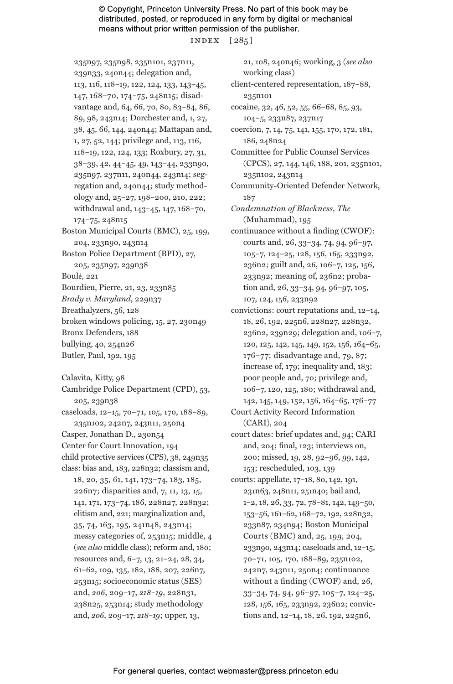#### index [ 285 ]

235n97, 235n98, 235n101, 237n11, 239n33, 240n44; delegation and, 113, 116, 118–19, 122, 124, 133, 143–45, 147, 168–70, 174–75, 248n15; disadvantage and, 64, 66, 70, 80, 83–84, 86, 89, 98, 243n14; Dorchester and, 1, 27, 38, 45, 66, 144, 240n44; Mattapan and, 1, 27, 52, 144; privilege and, 113, 116, 118–19, 122, 124, 133; Roxbury, 27, 31, 38–39, 42, 44–45, 49, 143–44, 233n90, 235n97, 237n11, 240n44, 243n14; segregation and, 240n44; study methodology and, 25–27, 198–200, 210, 222; withdrawal and, 143–45, 147, 168–70, 174–75, 248n15 Boston Municipal Courts (BMC), 25, 199, 204, 233n90, 243n14 Boston Police Department (BPD), 27, 205, 235n97, 239n38 Boulé, 221 Bourdieu, Pierre, 21, 23, 233n85 *Brady v. Maryland*, 229n37 Breathalyzers, 56, 128 broken windows policing, 15, 27, 230n49 Bronx Defenders, 188 bullying, 40, 254n26 Butler, Paul, 192, 195 Calavita, Kitty, 98 Cambridge Police Department (CPD), 53, 205, 239n38 caseloads, 12–15, 70–71, 105, 170, 188–89, 235n102, 242n7, 243n11, 250n4 Casper, Jonathan D., 230n54 Center for Court Innovation, 194 child protective services (CPS), 38, 249n35 class: bias and, 183, 228n32; classism and, 18, 20, 35, 61, 141, 173–74, 183, 185, 226n7; disparities and, 7, 11, 13, 15, 141, 171, 173–74, 186, 228n27, 228n32; elitism and, 221; marginalization and, 35, 74, 163, 195, 241n48, 243n14; messy categories of, 253n15; middle, 4 (*see also* middle class); reform and, 180; resources and, 6–7, 13, 21–24, 28, 34, 61–62, 109, 135, 182, 188, 207, 226n7, 253n15; socioeconomic status (SES) and, *206*, 209–17, *218–19*, 228n31, 238n25, 253n14; study methodology and, *206*, 209–17, *218–19*; upper, 13,

21, 108, 240n46; working, 3 (*see also* working class) client-centered representation, 187–88, 235n101 cocaine, 32, 46, 52, 55, 66–68, 85, 93, 104–5, 233n87, 237n17 coercion, 7, 14, 75, 141, 155, 170, 172, 181, 186, 248n24 Committee for Public Counsel Services (CPCS), 27, 144, 146, 188, 201, 235n101, 235n102, 243n14 Community-Oriented Defender Network, 187 *Condemnation of Blackness, The* (Muhammad), 195 continuance without a finding (CWOF): courts and, 26, 33–34, 74, 94, 96–97, 105–7, 124–25, 128, 156, 165, 233n92, 236n2; guilt and, 26, 106–7, 125, 156, 233n92; meaning of, 236n2; probation and, 26, 33–34, 94, 96–97, 105, 107, 124, 156, 233n92 convictions: court reputations and, 12–14, 18, 26, 192, 225n6, 228n27, 228n32, 236n2, 239n29; delegation and, 106–7, 120, 125, 142, 145, 149, 152, 156, 164–65, 176–77; disadvantage and, 79, 87; increase of, 179; inequality and, 183; poor people and, 70; privilege and, 106–7, 120, 125, 180; withdrawal and, 142, 145, 149, 152, 156, 164–65, 176–77 Court Activity Record Information (CARI), 204 court dates: brief updates and, 94; CARI and, 204; final, 123; interviews on, 200; missed, 19, 28, 92–96, 99, 142, 153; rescheduled, 103, 139 courts: appellate, 17–18, 80, 142, 191, 231n63, 248n11, 251n40; bail and, 1–2, 18, 26, 33, 72, 78–81, 142, 149–50, 153–56, 161–62, 168–72, 192, 228n32, 233n87, 234n94; Boston Municipal Courts (BMC) and, 25, 199, 204, 233n90, 243n14; caseloads and, 12–15, 70–71, 105, 170, 188–89, 235n102, 242n7, 243n11, 250n4; continuance without a finding (CWOF) and, 26, 33–34, 74, 94, 96–97, 105–7, 124–25, 128, 156, 165, 233n92, 236n2; convictions and, 12–14, 18, 26, 192, 225n6,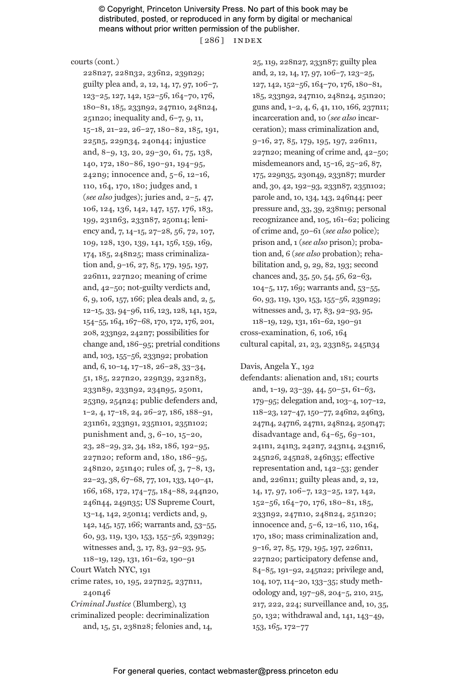[ 286 ] index

#### courts (cont.)

228n27, 228n32, 236n2, 239n29; guilty plea and, 2, 12, 14, 17, 97, 106–7, 123–25, 127, 142, 152–56, 164–70, 176, 180–81, 185, 233n92, 247n10, 248n24, 251n20; inequality and, 6–7, 9, 11, 15–18, 21–22, 26–27, 180–82, 185, 191, 225n5, 229n34, 240n44; injustice and, 8–9, 13, 20, 29–30, 61, 75, 138, 140, 172, 180–86, 190–91, 194–95, 242n9; innocence and, 5–6, 12–16, 110, 164, 170, 180; judges and, 1 (*see also* judges); juries and, 2–5, 47, 106, 124, 136, 142, 147, 157, 176, 183, 199, 231n63, 233n87, 250n14; leniency and, 7, 14–15, 27–28, 56, 72, 107, 109, 128, 130, 139, 141, 156, 159, 169, 174, 185, 248n25; mass criminalization and, 9–16, 27, 85, 179, 195, 197, 226n11, 227n20; meaning of crime and, 42–50; not-guilty verdicts and, 6, 9, 106, 157, 166; plea deals and, 2, 5, 12–15, 33, 94–96, 116, 123, 128, 141, 152, 154–55, 164, 167–68, 170, 172, 176, 201, 208, 233n92, 242n7; possibilities for change and, 186–95; pretrial conditions and, 103, 155–56, 233n92; probation and, 6, 10–14, 17–18, 26–28, 33–34, 51, 185, 227n20, 229n39, 232n83, 233n89, 233n92, 234n95, 250n1, 253n9, 254n24; public defenders and, 1–2, 4, 17–18, 24, 26–27, 186, 188–91, 231n61, 233n91, 235n101, 235n102; punishment and, 3, 6–10, 15–20, 23, 28–29, 32, 34, 182, 186, 192–95, 227n20; reform and, 180, 186–95, 248n20, 251n40; rules of, 3, 7–8, 13, 22–23, 38, 67–68, 77, 101, 133, 140–41, 166, 168, 172, 174–75, 184–88, 244n20, 246n44, 249n35; US Supreme Court, 13–14, 142, 250n14; verdicts and, 9, 142, 145, 157, 166; warrants and, 53–55, 60, 93, 119, 130, 153, 155–56, 239n29; witnesses and, 3, 17, 83, 92–93, 95, 118–19, 129, 131, 161–62, 190–91 Court Watch NYC, 191 crime rates, 10, 195, 227n25, 237n11, 240n46

*Criminal Justice* (Blumberg), 13 criminalized people: decriminalization and, 15, 51, 238n28; felonies and, 14,

25, 119, 228n27, 233n87; guilty plea and, 2, 12, 14, 17, 97, 106–7, 123–25, 127, 142, 152–56, 164–70, 176, 180–81, 185, 233n92, 247n10, 248n24, 251n20; guns and, 1–2, 4, 6, 41, 110, 166, 237n11; incarceration and, 10 (*see also* incarceration); mass criminalization and, 9–16, 27, 85, 179, 195, 197, 226n11, 227n20; meaning of crime and, 42–50; misdemeanors and, 15–16, 25–26, 87, 175, 229n35, 230n49, 233n87; murder and, 30, 42, 192–93, 233n87, 235n102; parole and, 10, 134, 143, 246n44; peer pressure and, 33, 39, 238n19; personal recognizance and, 105, 161–62; policing of crime and, 50–61 (*see also* police); prison and, 1 (*see also* prison); probation and, 6 (*see also* probation); rehabilitation and, 9, 29, 82, 193; second chances and, 35, 50, 54, 56, 62–63, 104–5, 117, 169; warrants and, 53–55, 60, 93, 119, 130, 153, 155–56, 239n29; witnesses and, 3, 17, 83, 92–93, 95, 118–19, 129, 131, 161–62, 190–91 cross-examination, 6, 106, 164 cultural capital, 21, 23, 233n85, 245n34

Davis, Angela Y., 192

defendants: alienation and, 181; courts and, 1–19, 23–39, 44, 50–51, 61–63, 179–95; delegation and, 103–4, 107–12, 118–23, 127–47, 150–77, 246n2, 246n3, 247n4, 247n6, 247n1, 248n24, 250n47; disadvantage and, 64–65, 69–101, 241n1, 241n3, 242n7, 243n14, 243n16, 245n26, 245n28, 246n35; effective representation and, 142–53; gender and, 226n11; guilty pleas and, 2, 12, 14, 17, 97, 106–7, 123–25, 127, 142, 152–56, 164–70, 176, 180–81, 185, 233n92, 247n10, 248n24, 251n20; innocence and, 5–6, 12–16, 110, 164, 170, 180; mass criminalization and, 9–16, 27, 85, 179, 195, 197, 226n11, 227n20; participatory defense and, 84–85, 191–92, 245n22; privilege and, 104, 107, 114–20, 133–35; study methodology and, 197–98, 204–5, 210, 215, 217, 222, 224; surveillance and, 10, 35, 50, 132; withdrawal and, 141, 143–49, 153, 165, 172–77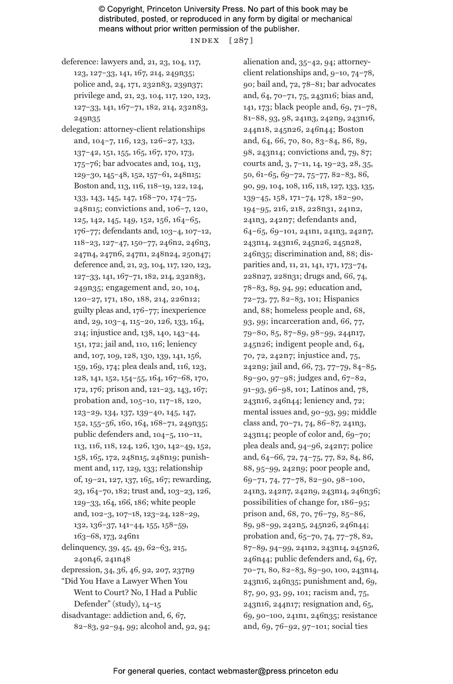index [ 287 ]

- deference: lawyers and, 21, 23, 104, 117, 123, 127–33, 141, 167, 214, 249n35; police and, 24, 171, 232n83, 239n37; privilege and, 21, 23, 104, 117, 120, 123, 127–33, 141, 167–71, 182, 214, 232n83, 249n35
- delegation: attorney-client relationships and, 104–7, 116, 123, 126–27, 133, 137–42, 151, 155, 165, 167, 170, 173, 175–76; bar advocates and, 104, 113, 129–30, 145–48, 152, 157–61, 248n15; Boston and, 113, 116, 118–19, 122, 124, 133, 143, 145, 147, 168–70, 174–75, 248n15; convictions and, 106–7, 120, 125, 142, 145, 149, 152, 156, 164–65, 176–77; defendants and, 103–4, 107–12, 118–23, 127–47, 150–77, 246n2, 246n3, 247n4, 247n6, 247n1, 248n24, 250n47; deference and, 21, 23, 104, 117, 120, 123, 127–33, 141, 167–71, 182, 214, 232n83, 249n35; engagement and, 20, 104, 120–27, 171, 180, 188, 214, 226n12; guilty pleas and, 176–77; inexperience and, 29, 103–4, 115–20, 126, 133, 164, 214; injustice and, 138, 140, 143–44, 151, 172; jail and, 110, 116; leniency and, 107, 109, 128, 130, 139, 141, 156, 159, 169, 174; plea deals and, 116, 123, 128, 141, 152, 154–55, 164, 167–68, 170, 172, 176; prison and, 121–23, 143, 167; probation and, 105–10, 117–18, 120, 123–29, 134, 137, 139–40, 145, 147, 152, 155–56, 160, 164, 168–71, 249n35; public defenders and, 104–5, 110–11, 113, 116, 118, 124, 126, 130, 142–49, 152, 158, 165, 172, 248n15, 248n19; punishment and, 117, 129, 133; relationship of, 19–21, 127, 137, 165, 167; rewarding, 23, 164–70, 182; trust and, 103–23, 126, 129–33, 164, 166, 186; white people and, 102–3, 107–18, 123–24, 128–29, 132, 136–37, 141–44, 155, 158–59, 163–68, 173, 246n1

delinquency, 39, 45, 49, 62–63, 215, 240n46, 241n48

depression, 34, 36, 46, 92, 207, 237n9

- "Did You Have a Lawyer When You Went to Court? No, I Had a Public Defender" (study), 14–15
- disadvantage: addiction and, 6, 67, 82–83, 92–94, 99; alcohol and, 92, 94;

alienation and, 35–42, 94; attorneyclient relationships and, 9–10, 74–78, 90; bail and, 72, 78–81; bar advocates and, 64, 70–71, 75, 243n16; bias and, 141, 173; black people and, 69, 71–78, 81–88, 93, 98, 241n3, 242n9, 243n16, 244n18, 245n26, 246n44; Boston and, 64, 66, 70, 80, 83–84, 86, 89, 98, 243n14; convictions and, 79, 87; courts and, 3, 7–11, 14, 19–23, 28, 35, 50, 61–65, 69–72, 75–77, 82–83, 86, 90, 99, 104, 108, 116, 118, 127, 133, 135, 139–45, 158, 171–74, 178, 182–90, 194–95, 216, 218, 228n31, 241n2, 241n3, 242n7; defendants and, 64–65, 69–101, 241n1, 241n3, 242n7, 243n14, 243n16, 245n26, 245n28, 246n35; discrimination and, 88; disparities and, 11, 21, 141, 171, 173–74, 228n27, 228n31; drugs and, 66, 74, 78–83, 89, 94, 99; education and, 72–73, 77, 82–83, 101; Hispanics and, 88; homeless people and, 68, 93, 99; incarceration and, 66, 77, 79–80, 85, 87–89, 98–99, 244n17, 245n26; indigent people and, 64, 70, 72, 242n7; injustice and, 75, 242n9; jail and, 66, 73, 77–79, 84–85, 89–90, 97–98; judges and, 67–82, 91–93, 96–98, 101; Latinos and, 78, 243n16, 246n44; leniency and, 72; mental issues and, 90–93, 99; middle class and, 70–71, 74, 86–87, 241n3, 243n14; people of color and, 69–70; plea deals and, 94–96, 242n7; police and, 64–66, 72, 74–75, 77, 82, 84, 86, 88, 95–99, 242n9; poor people and, 69–71, 74, 77–78, 82–90, 98–100, 241n3, 242n7, 242n9, 243n14, 246n36; possibilities of change for, 186–95; prison and, 68, 70, 76–79, 85–86, 89, 98–99, 242n5, 245n26, 246n44; probation and, 65–70, 74, 77–78, 82, 87–89, 94–99, 241n2, 243n14, 245n26, 246n44; public defenders and, 64, 67, 70–71, 80, 82–83, 89–90, 100, 243n14, 243n16, 246n35; punishment and, 69, 87, 90, 93, 99, 101; racism and, 75, 243n16, 244n17; resignation and, 65, 69, 90–100, 241n1, 246n35; resistance and, 69, 76–92, 97–101; social ties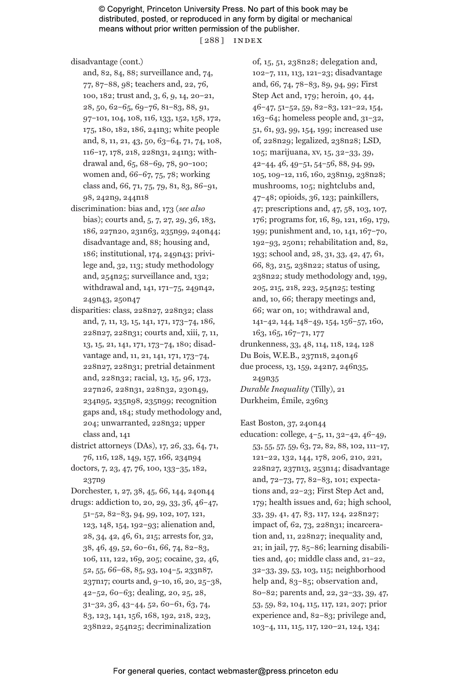[ 288 ] index

disadvantage (cont.)

- and, 82, 84, 88; surveillance and, 74, 77, 87–88, 98; teachers and, 22, 76, 100, 182; trust and, 3, 6, 9, 14, 20–21, 28, 50, 62–65, 69–76, 81–83, 88, 91, 97–101, 104, 108, 116, 133, 152, 158, 172, 175, 180, 182, 186, 241n3; white people and, 8, 11, 21, 43, 50, 63–64, 71, 74, 108, 116–17, 178, 218, 228n31, 241n3; withdrawal and, 65, 68–69, 78, 90–100; women and, 66–67, 75, 78; working class and, 66, 71, 75, 79, 81, 83, 86–91, 98, 242n9, 244n18
- discrimination: bias and, 173 (*see also* bias); courts and, 5, 7, 27, 29, 36, 183, 186, 227n20, 231n63, 235n99, 240n44; disadvantage and, 88; housing and, 186; institutional, 174, 249n43; privilege and, 32, 113; study methodology and, 254n25; surveillance and, 132; withdrawal and, 141, 171–75, 249n42, 249n43, 250n47
- disparities: class, 228n27, 228n32; class and, 7, 11, 13, 15, 141, 171, 173–74, 186, 228n27, 228n31; courts and, xiii, 7, 11, 13, 15, 21, 141, 171, 173–74, 180; disadvantage and, 11, 21, 141, 171, 173–74, 228n27, 228n31; pretrial detainment and, 228n32; racial, 13, 15, 96, 173, 227n26, 228n31, 228n32, 230n49, 234n95, 235n98, 235n99; recognition gaps and, 184; study methodology and, 204; unwarranted, 228n32; upper class and, 141
- district attorneys (DAs), 17, 26, 33, 64, 71, 76, 116, 128, 149, 157, 166, 234n94
- doctors, 7, 23, 47, 76, 100, 133–35, 182, 237n9
- Dorchester, 1, 27, 38, 45, 66, 144, 240n44
- drugs: addiction to, 20, 29, 33, 36, 46–47, 51–52, 82–83, 94, 99, 102, 107, 121, 123, 148, 154, 192–93; alienation and, 28, 34, 42, 46, 61, 215; arrests for, 32, 38, 46, 49, 52, 60–61, 66, 74, 82–83, 106, 111, 122, 169, 205; cocaine, 32, 46, 52, 55, 66–68, 85, 93, 104–5, 233n87, 237n17; courts and, 9–10, 16, 20, 25–38, 42–52, 60–63; dealing, 20, 25, 28, 31–32, 36, 43–44, 52, 60–61, 63, 74, 83, 123, 141, 156, 168, 192, 218, 223, 238n22, 254n25; decriminalization

of, 15, 51, 238n28; delegation and, 102–7, 111, 113, 121–23; disadvantage and, 66, 74, 78–83, 89, 94, 99; First Step Act and, 179; heroin, 40, 44, 46–47, 51–52, 59, 82–83, 121–22, 154, 163–64; homeless people and, 31–32, 51, 61, 93, 99, 154, 199; increased use of, 228n29; legalized, 238n28; LSD, 105; marijuana, xv, 15, 32–33, 39, 42–44, 46, 49–51, 54–56, 88, 94, 99, 105, 109–12, 116, 160, 238n19, 238n28; mushrooms, 105; nightclubs and, 47–48; opioids, 36, 123; painkillers, 47; prescriptions and, 47, 58, 103, 107, 176; programs for, 16, 89, 121, 169, 179, 199; punishment and, 10, 141, 167–70, 192–93, 250n1; rehabilitation and, 82, 193; school and, 28, 31, 33, 42, 47, 61, 66, 83, 215, 238n22; status of using, 238n22; study methodology and, 199, 205, 215, 218, 223, 254n25; testing and, 10, 66; therapy meetings and, 66; war on, 10; withdrawal and, 141–42, 144, 148–49, 154, 156–57, 160, 163, 165, 167–71, 177 drunkenness, 33, 48, 114, 118, 124, 128 Du Bois, W.E.B., 237n18, 240n46

due process, 13, 159, 242n7, 246n35, 249n35 *Durable Inequality* (Tilly), 21 Durkheim, Émile, 236n3

East Boston, 37, 240n44

education: college, 4–5, 11, 32–42, 46–49, 53, 55, 57, 59, 63, 72, 82, 88, 102, 111–17, 121–22, 132, 144, 178, 206, 210, 221, 228n27, 237n13, 253n14; disadvantage and, 72–73, 77, 82–83, 101; expectations and, 22–23; First Step Act and, 179; health issues and, 62; high school, 33, 39, 41, 47, 83, 117, 124, 228n27; impact of, 62, 73, 228n31; incarceration and, 11, 228n27; inequality and, 21; in jail, 77, 85–86; learning disabilities and, 40; middle class and, 21–22, 32–33, 39, 53, 103, 115; neighborhood help and, 83–85; observation and, 80–82; parents and, 22, 32–33, 39, 47, 53, 59, 82, 104, 115, 117, 121, 207; prior experience and, 82–83; privilege and, 103–4, 111, 115, 117, 120–21, 124, 134;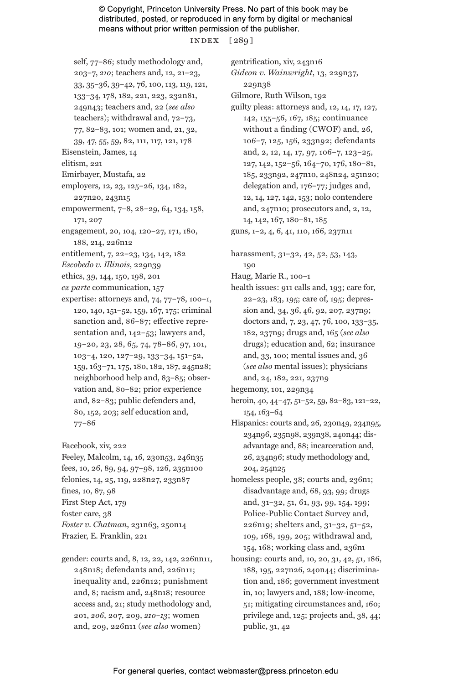index [ 289 ]

self, 77–86; study methodology and, 203–7, *210*; teachers and, 12, 21–23, 33, 35–36, 39–42, 76, 100, 113, 119, 121, 133–34, 178, 182, 221, 223, 232n81, 249n43; teachers and, 22 (*see also* teachers); withdrawal and, 72–73, 77, 82–83, 101; women and, 21, 32,

39, 47, 55, 59, 82, 111, 117, 121, 178

- Eisenstein, James, 14
- elitism, 221
- Emirbayer, Mustafa, 22
- employers, 12, 23, 125–26, 134, 182, 227n20, 243n15
- empowerment, 7–8, 28–29, 64, 134, 158, 171, 207
- engagement, 20, 104, 120–27, 171, 180, 188, 214, 226n12
- entitlement, 7, 22–23, 134, 142, 182
- *Escobedo v. Illinois*, 229n39
- ethics, 39, 144, 150, 198, 201
- *ex parte* communication, 157
- expertise: attorneys and, 74, 77–78, 100–1, 120, 140, 151–52, 159, 167, 175; criminal sanction and, 86–87; effective representation and, 142–53; lawyers and, 19–20, 23, 28, 65, 74, 78–86, 97, 101, 103–4, 120, 127–29, 133–34, 151–52, 159, 163–71, 175, 180, 182, 187, 245n28; neighborhood help and, 83–85; observation and, 80–82; prior experience and, 82–83; public defenders and, 80, 152, 203; self education and, 77–86

Facebook, xiv, 222

- Feeley, Malcolm, 14, 16, 230n53, 246n35 fees, 10, 26, 89, 94, 97–98, 126, 235n100 felonies, 14, 25, 119, 228n27, 233n87 fines, 10, 87, 98 First Step Act, 179 foster care, 38 *Foster v. Chatman*, 231n63, 250n14 Frazier, E. Franklin, 221
- gender: courts and, 8, 12, 22, 142, 226nn11, 248n18; defendants and, 226n11; inequality and, 226n12; punishment and, 8; racism and, 248n18; resource access and, 21; study methodology and, 201, *206*, 207, 209, *210–13*; women and, 209, 226n11 (*see also* women)

gentrification, xiv, 243n16 *Gideon v. Wainwright*, 13, 229n37, 229n38 Gilmore, Ruth Wilson, 192 guilty pleas: attorneys and, 12, 14, 17, 127, 142, 155–56, 167, 185; continuance without a finding (CWOF) and, 26, 106–7, 125, 156, 233n92; defendants and, 2, 12, 14, 17, 97, 106–7, 123–25, 127, 142, 152–56, 164–70, 176, 180–81, 185, 233n92, 247n10, 248n24, 251n20; delegation and, 176–77; judges and, 12, 14, 127, 142, 153; nolo contendere and, 247n10; prosecutors and, 2, 12, 14, 142, 167, 180–81, 185 guns, 1–2, 4, 6, 41, 110, 166, 237n11

- harassment, 31–32, 42, 52, 53, 143, 190
- Haug, Marie R., 100–1
- health issues: 911 calls and, 193; care for, 22–23, 183, 195; care of, 195; depression and, 34, 36, 46, 92, 207, 237n9; doctors and, 7, 23, 47, 76, 100, 133–35, 182, 237n9; drugs and, 165 (*see also* drugs); education and, 62; insurance and, 33, 100; mental issues and, 36 (*see also* mental issues); physicians and, 24, 182, 221, 237n9
- hegemony, 101, 229n34
- heroin, 40, 44–47, 51–52, 59, 82–83, 121–22, 154, 163–64
- Hispanics: courts and, 26, 230n49, 234n95, 234n96, 235n98, 239n38, 240n44; disadvantage and, 88; incarceration and, 26, 234n96; study methodology and, 204, 254n25
- homeless people, 38; courts and, 236n1; disadvantage and, 68, 93, 99; drugs and, 31–32, 51, 61, 93, 99, 154, 199; Police-Public Contact Survey and, 226n19; shelters and, 31–32, 51–52, 109, 168, 199, 205; withdrawal and, 154, 168; working class and, 236n1
- housing: courts and, 10, 20, 31, 42, 51, 186, 188, 195, 227n26, 240n44; discrimination and, 186; government investment in, 10; lawyers and, 188; low-income, 51; mitigating circumstances and, 160; privilege and, 125; projects and, 38, 44; public, 31, 42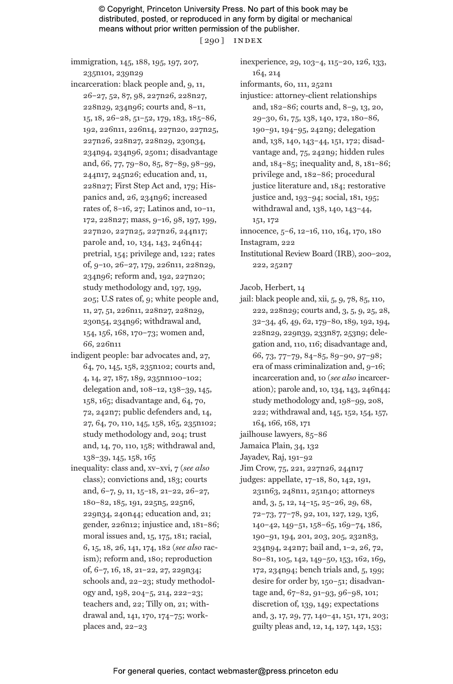[ 290 ] index

immigration, 145, 188, 195, 197, 207, 235n101, 239n29

- incarceration: black people and, 9, 11, 26–27, 52, 87, 98, 227n26, 228n27, 228n29, 234n96; courts and, 8–11, 15, 18, 26–28, 51–52, 179, 183, 185–86, 192, 226n11, 226n14, 227n20, 227n25, 227n26, 228n27, 228n29, 230n34, 234n94, 234n96, 250n1; disadvantage and, 66, 77, 79–80, 85, 87–89, 98–99, 244n17, 245n26; education and, 11, 228n27; First Step Act and, 179; Hispanics and, 26, 234n96; increased rates of, 8–16, 27; Latinos and, 10–11, 172, 228n27; mass, 9–16, 98, 197, 199, 227n20, 227n25, 227n26, 244n17; parole and, 10, 134, 143, 246n44; pretrial, 154; privilege and, 122; rates of, 9–10, 26–27, 179, 226n11, 228n29, 234n96; reform and, 192, 227n20; study methodology and, 197, 199, 205; U.S rates of, 9; white people and, 11, 27, 51, 226n11, 228n27, 228n29, 230n54, 234n96; withdrawal and, 154, 156, 168, 170–73; women and, 66, 226n11
- indigent people: bar advocates and, 27, 64, 70, 145, 158, 235n102; courts and, 4, 14, 27, 187, 189, 235nn100–102; delegation and, 108–12, 138–39, 145, 158, 165; disadvantage and, 64, 70, 72, 242n7; public defenders and, 14, 27, 64, 70, 110, 145, 158, 165, 235n102; study methodology and, 204; trust and, 14, 70, 110, 158; withdrawal and, 138–39, 145, 158, 165
- inequality: class and, xv–xvi, 7 (*see also* class); convictions and, 183; courts and, 6–7, 9, 11, 15–18, 21–22, 26–27, 180–82, 185, 191, 225n5, 225n6, 229n34, 240n44; education and, 21; gender, 226n12; injustice and, 181–86; moral issues and, 15, 175, 181; racial, 6, 15, 18, 26, 141, 174, 182 (*see also* racism); reform and, 180; reproduction of, 6–7, 16, 18, 21–22, 27, 229n34; schools and, 22–23; study methodology and, 198, 204–5, 214, 222–23; teachers and, 22; Tilly on, 21; withdrawal and, 141, 170, 174–75; workplaces and, 22–23

inexperience, 29, 103–4, 115–20, 126, 133, 164, 214 informants, 60, 111, 252n1

injustice: attorney-client relationships and, 182–86; courts and, 8–9, 13, 20, 29–30, 61, 75, 138, 140, 172, 180–86, 190–91, 194–95, 242n9; delegation and, 138, 140, 143–44, 151, 172; disadvantage and, 75, 242n9; hidden rules and, 184–85; inequality and, 8, 181–86; privilege and, 182–86; procedural justice literature and, 184; restorative justice and, 193–94; social, 181, 195; withdrawal and, 138, 140, 143–44, 151, 172

innocence, 5–6, 12–16, 110, 164, 170, 180

Instagram, 222

Institutional Review Board (IRB), 200–202, 222, 252n7

Jacob, Herbert, 14

- jail: black people and, xii, 5, 9, 78, 85, 110, 222, 228n29; courts and, 3, 5, 9, 25, 28, 32–34, 46, 49, 62, 179–80, 189, 192, 194, 228n29, 229n39, 233n87, 253n9; delegation and, 110, 116; disadvantage and, 66, 73, 77–79, 84–85, 89–90, 97–98; era of mass criminalization and, 9–16; incarceration and, 10 (*see also* incarceration); parole and, 10, 134, 143, 246n44; study methodology and, 198–99, 208, 222; withdrawal and, 145, 152, 154, 157, 164, 166, 168, 171
- jailhouse lawyers, 85–86
- Jamaica Plain, 34, 132
- Jayadev, Raj, 191–92
- Jim Crow, 75, 221, 227n26, 244n17
- judges: appellate, 17–18, 80, 142, 191, 231n63, 248n11, 251n40; attorneys and, 3, 5, 12, 14–15, 25–26, 29, 68, 72–73, 77–78, 92, 101, 127, 129, 136, 140–42, 149–51, 158–65, 169–74, 186, 190–91, 194, 201, 203, 205, 232n83, 234n94, 242n7; bail and, 1–2, 26, 72, 80–81, 105, 142, 149–50, 153, 162, 169, 172, 234n94; bench trials and, 5, 199; desire for order by, 150–51; disadvantage and, 67–82, 91–93, 96–98, 101; discretion of, 139, 149; expectations and, 3, 17, 29, 77, 140–41, 151, 171, 203; guilty pleas and, 12, 14, 127, 142, 153;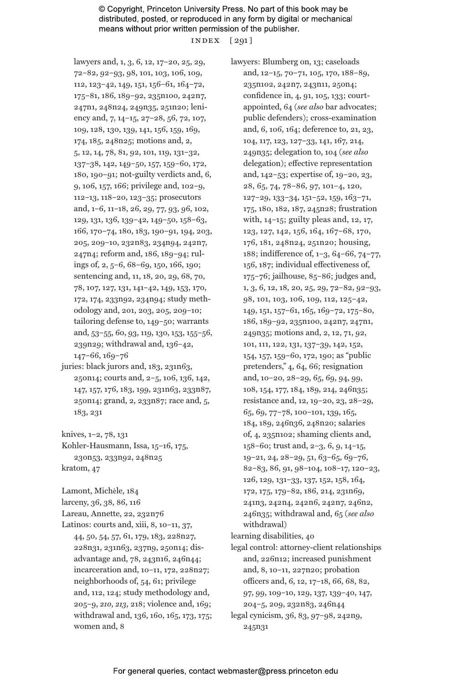index [ 291 ]

lawyers and, 1, 3, 6, 12, 17–20, 25, 29, 72–82, 92–93, 98, 101, 103, 106, 109, 112, 123–42, 149, 151, 156–61, 164–72, 175–81, 186, 189–92, 235n100, 242n7, 247n1, 248n24, 249n35, 251n20; leniency and, 7, 14–15, 27–28, 56, 72, 107, 109, 128, 130, 139, 141, 156, 159, 169, 174, 185, 248n25; motions and, 2, 5, 12, 14, 78, 81, 92, 101, 119, 131–32, 137–38, 142, 149–50, 157, 159–60, 172, 180, 190–91; not-guilty verdicts and, 6, 9, 106, 157, 166; privilege and, 102–9, 112–13, 118–20, 123–35; prosecutors and, 1–6, 11–18, 26, 29, 77, 93, 96, 102, 129, 131, 136, 139–42, 149–50, 158–63, 166, 170–74, 180, 183, 190–91, 194, 203, 205, 209–10, 232n83, 234n94, 242n7, 247n4; reform and, 186, 189–94; rulings of, 2, 5–6, 68–69, 150, 166, 190; sentencing and, 11, 18, 20, 29, 68, 70, 78, 107, 127, 131, 141–42, 149, 153, 170, 172, 174, 233n92, 234n94; study methodology and, 201, 203, 205, 209–10; tailoring defense to, 149–50; warrants and, 53–55, 60, 93, 119, 130, 153, 155–56, 239n29; withdrawal and, 136–42, 147–66, 169–76

juries: black jurors and, 183, 231n63, 250n14; courts and, 2–5, 106, 136, 142, 147, 157, 176, 183, 199, 231n63, 233n87, 250n14; grand, 2, 233n87; race and, 5, 183, 231

knives, 1–2, 78, 131 Kohler-Hausmann, Issa, 15–16, 175, 230n53, 233n92, 248n25 kratom, 47

Lamont, Michèle, 184

larceny, 36, 38, 86, 116

Lareau, Annette, 22, 232n76

Latinos: courts and, xiii, 8, 10–11, 37, 44, 50, 54, 57, 61, 179, 183, 228n27, 228n31, 231n63, 237n9, 250n14; disadvantage and, 78, 243n16, 246n44; incarceration and, 10–11, 172, 228n27; neighborhoods of, 54, 61; privilege and, 112, 124; study methodology and, 205–9, *210*, *213*, 218; violence and, 169; withdrawal and, 136, 160, 165, 173, 175; women and, 8

lawyers: Blumberg on, 13; caseloads and, 12–15, 70–71, 105, 170, 188–89, 235n102, 242n7, 243n11, 250n4; confidence in, 4, 91, 105, 133; courtappointed, 64 (*see also* bar advocates; public defenders); cross-examination and, 6, 106, 164; deference to, 21, 23, 104, 117, 123, 127–33, 141, 167, 214, 249n35; delegation to, 104 (*see also* delegation); effective representation and, 142–53; expertise of, 19–20, 23, 28, 65, 74, 78–86, 97, 101–4, 120, 127–29, 133–34, 151–52, 159, 163–71, 175, 180, 182, 187, 245n28; frustration with,  $14-15$ ; guilty pleas and,  $12, 17$ , 123, 127, 142, 156, 164, 167–68, 170, 176, 181, 248n24, 251n20; housing, 188; indifference of, 1–3, 64–66, 74–77, 156, 187; individual effectiveness of, 175–76; jailhouse, 85–86; judges and, 1, 3, 6, 12, 18, 20, 25, 29, 72–82, 92–93, 98, 101, 103, 106, 109, 112, 125–42, 149, 151, 157–61, 165, 169–72, 175–80, 186, 189–92, 235n100, 242n7, 247n1, 249n35; motions and, 2, 12, 71, 92, 101, 111, 122, 131, 137–39, 142, 152, 154, 157, 159–60, 172, 190; as "public pretenders," 4, 64, 66; resignation and, 10–20, 28–29, 65, 69, 94, 99, 108, 154, 177, 184, 189, 214, 246n35; resistance and, 12, 19–20, 23, 28–29, 65, 69, 77–78, 100–101, 139, 165, 184, 189, 246n36, 248n20; salaries of, 4, 235n102; shaming clients and, 158–60; trust and, 2–3, 6, 9, 14–15, 19–21, 24, 28–29, 51, 63–65, 69–76, 82–83, 86, 91, 98–104, 108–17, 120–23, 126, 129, 131–33, 137, 152, 158, 164, 172, 175, 179–82, 186, 214, 231n69, 241n3, 242n4, 242n6, 242n7, 246n2, 246n35; withdrawal and, 65 (*see also* withdrawal) learning disabilities, 40

legal control: attorney-client relationships and, 226n12; increased punishment and, 8, 10–11, 227n20; probation officers and, 6, 12, 17–18, 66, 68, 82, 97, 99, 109–10, 129, 137, 139–40, 147, 204–5, 209, 232n83, 246n44

legal cynicism, 36, 83, 97–98, 242n9, 245n31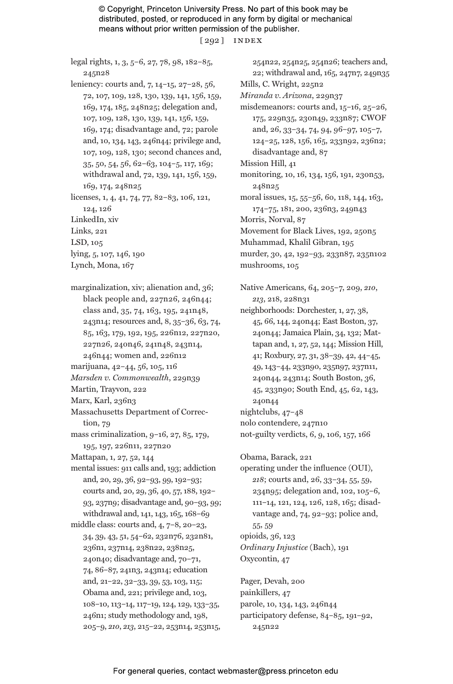[ 292 ] index

legal rights, 1, 3, 5–6, 27, 78, 98, 182–85, 245n28 leniency: courts and, 7, 14–15, 27–28, 56, 72, 107, 109, 128, 130, 139, 141, 156, 159, 169, 174, 185, 248n25; delegation and, 107, 109, 128, 130, 139, 141, 156, 159, 169, 174; disadvantage and, 72; parole and, 10, 134, 143, 246n44; privilege and, 107, 109, 128, 130; second chances and, 35, 50, 54, 56, 62–63, 104–5, 117, 169; withdrawal and, 72, 139, 141, 156, 159, 169, 174, 248n25 licenses, 1, 4, 41, 74, 77, 82–83, 106, 121, 124, 126 LinkedIn, xiv Links, 221 LSD, 105 lying, 5, 107, 146, 190 Lynch, Mona, 167

marginalization, xiv; alienation and, 36; black people and,  $227n26$ ,  $246n44$ ; class and, 35, 74, 163, 195, 241n48, 243n14; resources and, 8, 35–36, 63, 74, 85, 163, 179, 192, 195, 226n12, 227n20, 227n26, 240n46, 241n48, 243n14, 246n44; women and, 226n12 marijuana, 42–44, 56, 105, 116 *Marsden v. Commonwealth*, 229n39 Martin, Trayvon, 222 Marx, Karl, 236n3 Massachusetts Department of Correction, 79 mass criminalization, 9–16, 27, 85, 179, 195, 197, 226n11, 227n20 Mattapan, 1, 27, 52, 144 mental issues: 911 calls and, 193; addiction and, 20, 29, 36, 92–93, 99, 192–93; courts and, 20, 29, 36, 40, 57, 188, 192– 93, 237n9; disadvantage and, 90–93, 99; withdrawal and, 141, 143, 165, 168–69 middle class: courts and, 4, 7–8, 20–23, 34, 39, 43, 51, 54–62, 232n76, 232n81, 236n1, 237n14, 238n22, 238n25, 240n40; disadvantage and, 70–71, 74, 86–87, 241n3, 243n14; education and, 21–22, 32–33, 39, 53, 103, 115; Obama and, 221; privilege and, 103, 108–10, 113–14, 117–19, 124, 129, 133–35, 246n1; study methodology and, 198, 205–9, *210*, *213*, 215–22, 253n14, 253n15,

254n22, 254n25, 254n26; teachers and, 22; withdrawal and, 165, 247n7, 249n35 Mills, C. Wright, 225n2 *Miranda v. Arizona*, 229n37 misdemeanors: courts and, 15–16, 25–26, 175, 229n35, 230n49, 233n87; CWOF and, 26, 33–34, 74, 94, 96–97, 105–7, 124–25, 128, 156, 165, 233n92, 236n2; disadvantage and, 87 Mission Hill, 41 monitoring, 10, 16, 134, 156, 191, 230n53, 248n25 moral issues, 15, 55–56, 60, 118, 144, 163, 174–75, 181, 200, 236n3, 249n43 Morris, Norval, 87 Movement for Black Lives, 192, 250n5 Muhammad, Khalil Gibran, 195 murder, 30, 42, 192–93, 233n87, 235n102 mushrooms, 105 Native Americans, 64, 205–7, 209, *210*, *213*, 218, 228n31 neighborhoods: Dorchester, 1, 27, 38, 45, 66, 144, 240n44; East Boston, 37, 240n44; Jamaica Plain, 34, 132; Mattapan and, 1, 27, 52, 144; Mission Hill, 41; Roxbury, 27, 31, 38–39, 42, 44–45, 49, 143–44, 233n90, 235n97, 237n11, 240n44, 243n14; South Boston, 36, 45, 233n90; South End, 45, 62, 143, 240n44 nightclubs, 47–48 nolo contendere, 247n10 not-guilty verdicts, 6, 9, 106, 157, 166 Obama, Barack, 221 operating under the influence (OUI), *218*; courts and, 26, 33–34, 55, 59,

234n95; delegation and, 102, 105–6, 111–14, 121, 124, 126, 128, 165; disadvantage and, 74, 92–93; police and, 55, 59 opioids, 36, 123 *Ordinary Injustice* (Bach), 191 Oxycontin, 47

Pager, Devah, 200 painkillers, 47 parole, 10, 134, 143, 246n44 participatory defense, 84–85, 191–92, 245n22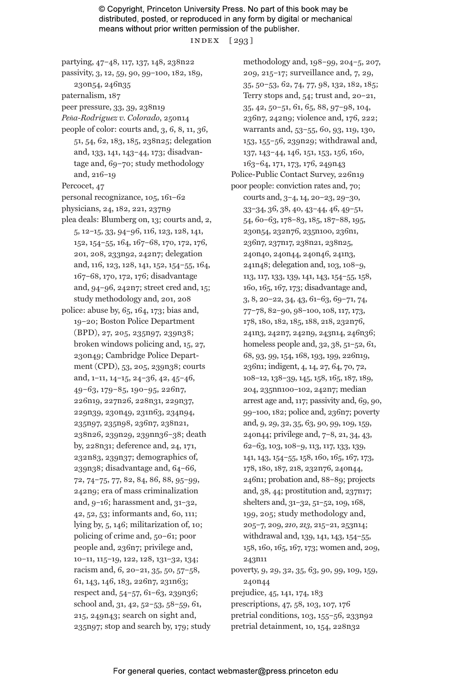### index [ 293 ]

partying, 47–48, 117, 137, 148, 238n22 passivity, 3, 12, 59, 90, 99–100, 182, 189, 230n54, 246n35 paternalism, 187 peer pressure, 33, 39, 238n19 *Peña-Rodriguez v. Colorado*, 250n14 people of color: courts and, 3, 6, 8, 11, 36, 51, 54, 62, 183, 185, 238n25; delegation and, 133, 141, 143–44, 173; disadvantage and, 69–70; study methodology and, 216–19 Percocet, 47 personal recognizance, 105, 161–62 physicians, 24, 182, 221, 237n9 plea deals: Blumberg on, 13; courts and, 2, 5, 12–15, 33, 94–96, 116, 123, 128, 141, 152, 154–55, 164, 167–68, 170, 172, 176, 201, 208, 233n92, 242n7; delegation and, 116, 123, 128, 141, 152, 154–55, 164, 167–68, 170, 172, 176; disadvantage and, 94–96, 242n7; street cred and, 15; study methodology and, 201, 208 police: abuse by, 65, 164, 173; bias and, 19–20; Boston Police Department (BPD), 27, 205, 235n97, 239n38; broken windows policing and, 15, 27, 230n49; Cambridge Police Department (CPD), 53, 205, 239n38; courts and, 1–11, 14–15, 24–36, 42, 45–46, 49–63, 179–85, 190–95, 226n7, 226n19, 227n26, 228n31, 229n37, 229n39, 230n49, 231n63, 234n94, 235n97, 235n98, 236n7, 238n21, 238n26, 239n29, 239nn36–38; death by, 228n31; deference and, 24, 171, 232n83, 239n37; demographics of, 239n38; disadvantage and, 64–66, 72, 74–75, 77, 82, 84, 86, 88, 95–99, 242n9; era of mass criminalization and, 9–16; harassment and, 31–32, 42, 52, 53; informants and, 60, 111; lying by, 5, 146; militarization of, 10; policing of crime and, 50–61; poor people and, 236n7; privilege and, 10–11, 115–19, 122, 128, 131–32, 134; racism and, 6, 20–21, 35, 50, 57–58, 61, 143, 146, 183, 226n7, 231n63; respect and, 54–57, 61–63, 239n36; school and, 31, 42, 52–53, 58–59, 61, 215, 249n43; search on sight and, 235n97; stop and search by, 179; study

methodology and, 198–99, 204–5, 207, 209, 215–17; surveillance and, 7, 29, 35, 50–53, 62, 74, 77, 98, 132, 182, 185; Terry stops and, 54; trust and, 20–21, 35, 42, 50–51, 61, 65, 88, 97–98, 104, 236n7, 242n9; violence and, 176, 222; warrants and, 53–55, 60, 93, 119, 130, 153, 155–56, 239n29; withdrawal and, 137, 143–44, 146, 151, 153, 156, 160, 163–64, 171, 173, 176, 249n43 Police-Public Contact Survey, 226n19 poor people: conviction rates and, 70; courts and, 3–4, 14, 20–23, 29–30, 33–34, 36, 38, 40, 43–44, 46, 49–51, 54, 60–63, 178–83, 185, 187–88, 195, 230n54, 232n76, 235n100, 236n1, 236n7, 237n17, 238n21, 238n25, 240n40, 240n44, 240n46, 241n3, 241n48; delegation and, 103, 108–9, 113, 117, 133, 139, 141, 143, 154–55, 158, 160, 165, 167, 173; disadvantage and, 3, 8, 20–22, 34, 43, 61–63, 69–71, 74, 77–78, 82–90, 98–100, 108, 117, 173, 178, 180, 182, 185, 188, 218, 232n76, 241n3, 242n7, 242n9, 243n14, 246n36; homeless people and, 32, 38, 51–52, 61, 68, 93, 99, 154, 168, 193, 199, 226n19, 236n1; indigent, 4, 14, 27, 64, 70, 72, 108–12, 138–39, 145, 158, 165, 187, 189, 204, 235nn100–102, 242n7; median arrest age and, 117; passivity and, 69, 90, 99–100, 182; police and, 236n7; poverty and, 9, 29, 32, 35, 63, 90, 99, 109, 159, 240n44; privilege and, 7–8, 21, 34, 43, 62–63, 103, 108–9, 113, 117, 133, 139, 141, 143, 154–55, 158, 160, 165, 167, 173, 178, 180, 187, 218, 232n76, 240n44, 246n1; probation and, 88–89; projects and, 38, 44; prostitution and, 237n17; shelters and, 31–32, 51–52, 109, 168, 199, 205; study methodology and, 205–7, 209, *210*, *213*, 215–21, 253n14; withdrawal and, 139, 141, 143, 154–55, 158, 160, 165, 167, 173; women and, 209, 243n11 poverty, 9, 29, 32, 35, 63, 90, 99, 109, 159, 240n44 prejudice, 45, 141, 174, 183

- prescriptions, 47, 58, 103, 107, 176
- pretrial conditions, 103, 155–56, 233n92
- pretrial detainment, 10, 154, 228n32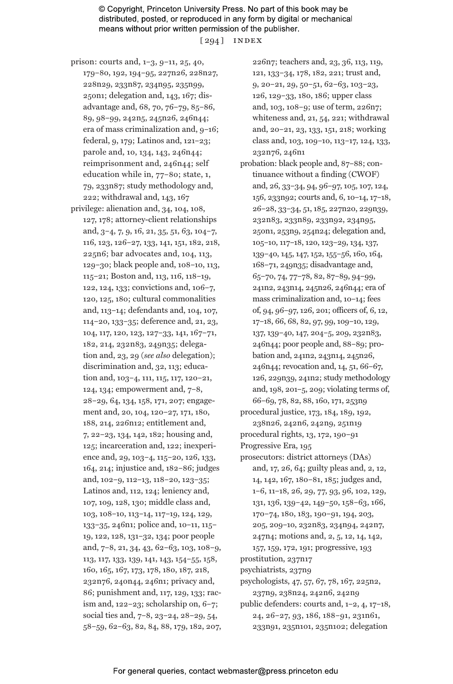#### [ 294 ] index

- prison: courts and, 1–3, 9–11, 25, 40, 179–80, 192, 194–95, 227n26, 228n27, 228n29, 233n87, 234n95, 235n99, 250n1; delegation and, 143, 167; disadvantage and, 68, 70, 76–79, 85–86, 89, 98–99, 242n5, 245n26, 246n44; era of mass criminalization and, 9–16; federal, 9, 179; Latinos and, 121–23; parole and, 10, 134, 143, 246n44; reimprisonment and, 246n44; self education while in, 77–80; state, 1, 79, 233n87; study methodology and, 222; withdrawal and, 143, 167
- privilege: alienation and, 34, 104, 108, 127, 178; attorney-client relationships and, 3–4, 7, 9, 16, 21, 35, 51, 63, 104–7, 116, 123, 126–27, 133, 141, 151, 182, 218, 225n6; bar advocates and, 104, 113, 129–30; black people and, 108–10, 113, 115–21; Boston and, 113, 116, 118–19, 122, 124, 133; convictions and, 106–7, 120, 125, 180; cultural commonalities and, 113–14; defendants and, 104, 107, 114–20, 133–35; deference and, 21, 23, 104, 117, 120, 123, 127–33, 141, 167–71, 182, 214, 232n83, 249n35; delegation and, 23, 29 (*see also* delegation); discrimination and, 32, 113; education and, 103–4, 111, 115, 117, 120–21, 124, 134; empowerment and, 7–8, 28–29, 64, 134, 158, 171, 207; engagement and, 20, 104, 120–27, 171, 180, 188, 214, 226n12; entitlement and, 7, 22–23, 134, 142, 182; housing and, 125; incarceration and, 122; inexperience and, 29, 103–4, 115–20, 126, 133, 164, 214; injustice and, 182–86; judges and, 102–9, 112–13, 118–20, 123–35; Latinos and, 112, 124; leniency and, 107, 109, 128, 130; middle class and, 103, 108–10, 113–14, 117–19, 124, 129, 133–35, 246n1; police and, 10–11, 115– 19, 122, 128, 131–32, 134; poor people and, 7–8, 21, 34, 43, 62–63, 103, 108–9, 113, 117, 133, 139, 141, 143, 154–55, 158, 160, 165, 167, 173, 178, 180, 187, 218, 232n76, 240n44, 246n1; privacy and, 86; punishment and, 117, 129, 133; racism and,  $122-23$ ; scholarship on,  $6-7$ ; social ties and, 7–8, 23–24, 28–29, 54, 58–59, 62–63, 82, 84, 88, 179, 182, 207,

226n7; teachers and, 23, 36, 113, 119, 121, 133–34, 178, 182, 221; trust and, 9, 20–21, 29, 50–51, 62–63, 103–23, 126, 129–33, 180, 186; upper class and, 103, 108–9; use of term, 226n7; whiteness and, 21, 54, 221; withdrawal and, 20–21, 23, 133, 151, 218; working class and, 103, 109–10, 113–17, 124, 133, 232n76, 246n1

probation: black people and, 87–88; continuance without a finding (CWOF) and, 26, 33–34, 94, 96–97, 105, 107, 124, 156, 233n92; courts and, 6, 10–14, 17–18, 26–28, 33–34, 51, 185, 227n20, 229n39, 232n83, 233n89, 233n92, 234n95, 250n1, 253n9, 254n24; delegation and, 105–10, 117–18, 120, 123–29, 134, 137, 139–40, 145, 147, 152, 155–56, 160, 164, 168–71, 249n35; disadvantage and, 65–70, 74, 77–78, 82, 87–89, 94–99, 241n2, 243n14, 245n26, 246n44; era of mass criminalization and, 10–14; fees of, 94, 96–97, 126, 201; officers of, 6, 12, 17–18, 66, 68, 82, 97, 99, 109–10, 129, 137, 139–40, 147, 204–5, 209, 232n83, 246n44; poor people and, 88–89; probation and, 241n2, 243n14, 245n26, 246n44; revocation and, 14, 51, 66–67, 126, 229n39, 241n2; study methodology and, 198, 201–5, 209; violating terms of, 66–69, 78, 82, 88, 160, 171, 253n9

procedural justice, 173, 184, 189, 192, 238n26, 242n6, 242n9, 251n19 procedural rights, 13, 172, 190–91 Progressive Era, 195

prosecutors: district attorneys (DAs) and, 17, 26, 64; guilty pleas and, 2, 12, 14, 142, 167, 180–81, 185; judges and, 1–6, 11–18, 26, 29, 77, 93, 96, 102, 129, 131, 136, 139–42, 149–50, 158–63, 166, 170–74, 180, 183, 190–91, 194, 203, 205, 209–10, 232n83, 234n94, 242n7, 247n4; motions and, 2, 5, 12, 14, 142, 157, 159, 172, 191; progressive, 193

prostitution, 237n17

psychiatrists, 237n9

psychologists, 47, 57, 67, 78, 167, 225n2, 237n9, 238n24, 242n6, 242n9

public defenders: courts and, 1–2, 4, 17–18, 24, 26–27, 93, 186, 188–91, 231n61, 233n91, 235n101, 235n102; delegation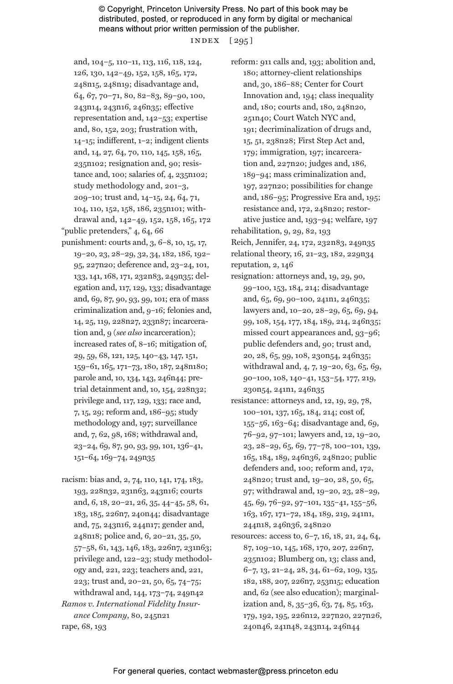index [ 295 ]

and, 104–5, 110–11, 113, 116, 118, 124, 126, 130, 142–49, 152, 158, 165, 172, 248n15, 248n19; disadvantage and, 64, 67, 70–71, 80, 82–83, 89–90, 100, 243n14, 243n16, 246n35; effective representation and, 142–53; expertise and, 80, 152, 203; frustration with, 14–15; indifferent, 1–2; indigent clients and, 14, 27, 64, 70, 110, 145, 158, 165, 235n102; resignation and, 90; resistance and, 100; salaries of, 4, 235n102; study methodology and, 201–3, 209–10; trust and, 14–15, 24, 64, 71, 104, 110, 152, 158, 186, 235n101; withdrawal and, 142–49, 152, 158, 165, 172 "public pretenders," 4, 64, 66

- punishment: courts and, 3, 6–8, 10, 15, 17, 19–20, 23, 28–29, 32, 34, 182, 186, 192– 95, 227n20; deference and, 23–24, 101, 133, 141, 168, 171, 232n83, 249n35; delegation and, 117, 129, 133; disadvantage and, 69, 87, 90, 93, 99, 101; era of mass criminalization and, 9–16; felonies and, 14, 25, 119, 228n27, 233n87; incarceration and, 9 (*see also* incarceration); increased rates of, 8–16; mitigation of, 29, 59, 68, 121, 125, 140–43, 147, 151, 159–61, 165, 171–73, 180, 187, 248n180; parole and, 10, 134, 143, 246n44; pretrial detainment and, 10, 154, 228n32; privilege and, 117, 129, 133; race and, 7, 15, 29; reform and, 186–95; study methodology and, 197; surveillance and, 7, 62, 98, 168; withdrawal and, 23–24, 69, 87, 90, 93, 99, 101, 136–41, 151–64, 169–74, 249n35
- racism: bias and, 2, 74, 110, 141, 174, 183, 193, 228n32, 231n63, 243n16; courts and, 6, 18, 20–21, 26, 35, 44–45, 58, 61, 183, 185, 226n7, 240n44; disadvantage and, 75, 243n16, 244n17; gender and, 248n18; police and, 6, 20–21, 35, 50, 57–58, 61, 143, 146, 183, 226n7, 231n63; privilege and, 122–23; study methodology and, 221, 223; teachers and, 221, 223; trust and, 20–21, 50, 65, 74–75; withdrawal and, 144, 173–74, 249n42 *Ramos v. International Fidelity Insurance Company*, 80, 245n21 rape, 68, 193

reform: 911 calls and, 193; abolition and, 180; attorney-client relationships and, 30, 186–88; Center for Court Innovation and, 194; class inequality and, 180; courts and, 180, 248n20, 251n40; Court Watch NYC and, 191; decriminalization of drugs and, 15, 51, 238n28; First Step Act and, 179; immigration, 197; incarceration and, 227n20; judges and, 186, 189–94; mass criminalization and, 197, 227n20; possibilities for change and, 186–95; Progressive Era and, 195; resistance and, 172, 248n20; restorative justice and, 193–94; welfare, 197 rehabilitation, 9, 29, 82, 193 Reich, Jennifer, 24, 172, 232n83, 249n35 relational theory, 16, 21–23, 182, 229n34 reputation, 2, 146

- resignation: attorneys and, 19, 29, 90, 99–100, 153, 184, 214; disadvantage and, 65, 69, 90–100, 241n1, 246n35; lawyers and, 10–20, 28–29, 65, 69, 94, 99, 108, 154, 177, 184, 189, 214, 246n35; missed court appearances and, 93–96; public defenders and, 90; trust and, 20, 28, 65, 99, 108, 230n54, 246n35; withdrawal and, 4, 7, 19–20, 63, 65, 69, 90–100, 108, 140–41, 153–54, 177, 219, 230n54, 241n1, 246n35
- resistance: attorneys and, 12, 19, 29, 78, 100–101, 137, 165, 184, 214; cost of, 155–56, 163–64; disadvantage and, 69, 76–92, 97–101; lawyers and, 12, 19–20, 23, 28–29, 65, 69, 77–78, 100–101, 139, 165, 184, 189, 246n36, 248n20; public defenders and, 100; reform and, 172, 248n20; trust and, 19–20, 28, 50, 65, 97; withdrawal and, 19–20, 23, 28–29, 45, 69, 76–92, 97–101, 135–41, 155–56, 163, 167, 171–72, 184, 189, 219, 241n1, 244n18, 246n36, 248n20
- resources: access to, 6–7, 16, 18, 21, 24, 64, 87, 109–10, 145, 168, 170, 207, 226n7, 235n102; Blumberg on, 13; class and, 6–7, 13, 21–24, 28, 34, 61–62, 109, 135, 182, 188, 207, 226n7, 253n15; education and, 62 (see also education); marginalization and, 8, 35–36, 63, 74, 85, 163, 179, 192, 195, 226n12, 227n20, 227n26, 240n46, 241n48, 243n14, 246n44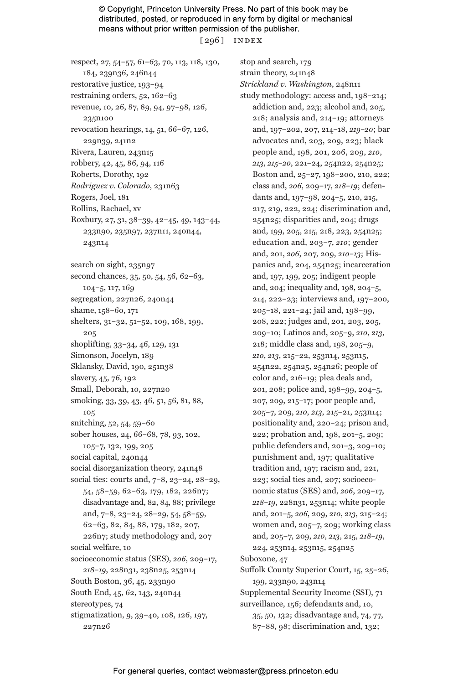[ 296 ] index

respect, 27, 54–57, 61–63, 70, 113, 118, 130, 184, 239n36, 246n44 restorative justice, 193–94 restraining orders, 52, 162–63 revenue, 10, 26, 87, 89, 94, 97–98, 126, 235n100 revocation hearings, 14, 51, 66–67, 126, 229n39, 241n2 Rivera, Lauren, 243n15 robbery, 42, 45, 86, 94, 116 Roberts, Dorothy, 192 *Rodriguez v. Colorado*, 231n63 Rogers, Joel, 181 Rollins, Rachael, xv Roxbury, 27, 31, 38–39, 42–45, 49, 143–44, 233n90, 235n97, 237n11, 240n44, 243n14 search on sight, 235n97 second chances, 35, 50, 54, 56, 62–63, 104–5, 117, 169 segregation, 227n26, 240n44 shame, 158–60, 171 shelters, 31–32, 51–52, 109, 168, 199, 205 shoplifting, 33–34, 46, 129, 131 Simonson, Jocelyn, 189 Sklansky, David, 190, 251n38 slavery, 45, 76, 192 Small, Deborah, 10, 227n20 smoking, 33, 39, 43, 46, 51, 56, 81, 88, 105 snitching, 52, 54, 59–60 sober houses, 24, 66–68, 78, 93, 102, 105–7, 132, 199, 205 social capital, 240n44 social disorganization theory, 241n48 social ties: courts and, 7–8, 23–24, 28–29, 54, 58–59, 62–63, 179, 182, 226n7; disadvantage and, 82, 84, 88; privilege and, 7–8, 23–24, 28–29, 54, 58–59, 62–63, 82, 84, 88, 179, 182, 207, 226n7; study methodology and, 207 social welfare, 10 socioeconomic status (SES), *206*, 209–17, *218–19*, 228n31, 238n25, 253n14 South Boston, 36, 45, 233n90 South End, 45, 62, 143, 240n44 stereotypes, 74 stigmatization, 9, 39–40, 108, 126, 197, 227n26

stop and search, 179 strain theory, 241n48 *Strickland v. Washington*, 248n11 study methodology: access and, 198–214; addiction and, 223; alcohol and, 205, 218; analysis and, 214–19; attorneys and, 197–202, 207, 214–18, *219–20*; bar advocates and, 203, 209, 223; black people and, 198, 201, 206, 209, *210*, *213*, *215–20*, 221–24, 254n22, 254n25; Boston and, 25–27, 198–200, 210, 222; class and, *206*, 209–17, *218–19*; defendants and, 197–98, 204–5, 210, 215, 217, 219, 222, 224; discrimination and, 254n25; disparities and, 204; drugs and, 199, 205, 215, 218, 223, 254n25; education and, 203–7, *210*; gender and, 201, *206*, 207, 209, *210–13*; Hispanics and, 204, 254n25; incarceration and, 197, 199, 205; indigent people and, 204; inequality and, 198, 204–5, 214, 222–23; interviews and, 197–200, 205–18, 221–24; jail and, 198–99, 208, 222; judges and, 201, 203, 205, 209–10; Latinos and, 205–9, *210*, *213*, 218; middle class and, 198, 205–9, *210*, *213*, 215–22, 253n14, 253n15, 254n22, 254n25, 254n26; people of color and, 216–19; plea deals and, 201, 208; police and, 198–99, 204–5, 207, 209, 215–17; poor people and, 205–7, 209, *210*, *213*, 215–21, 253n14; positionality and, 220–24; prison and, 222; probation and, 198, 201–5, 209; public defenders and, 201–3, 209–10; punishment and, 197; qualitative tradition and, 197; racism and, 221, 223; social ties and, 207; socioeconomic status (SES) and, *206*, 209–17, *218–19*, 228n31, 253n14; white people and, 201–5, *206*, 209, *210*, *213*, 215–24; women and, 205–7, 209; working class and, 205–7, 209, *210*, *213*, 215, *218–19*, 224, 253n14, 253n15, 254n25 Suboxone, 47 Suffolk County Superior Court, 15, 25–26, 199, 233n90, 243n14 Supplemental Security Income (SSI), 71 surveillance, 156; defendants and, 10, 35, 50, 132; disadvantage and, 74, 77, 87–88, 98; discrimination and, 132;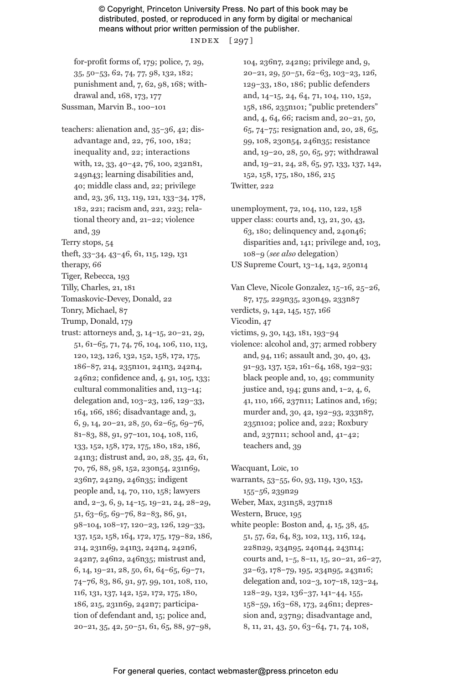index [ 297 ]

for-profit forms of, 179; police, 7, 29, 35, 50–53, 62, 74, 77, 98, 132, 182; punishment and, 7, 62, 98, 168; withdrawal and, 168, 173, 177 Sussman, Marvin B., 100–101

teachers: alienation and, 35–36, 42; disadvantage and, 22, 76, 100, 182; inequality and, 22; interactions with, 12, 33, 40–42, 76, 100, 232n81, 249n43; learning disabilities and, 40; middle class and, 22; privilege and, 23, 36, 113, 119, 121, 133–34, 178, 182, 221; racism and, 221, 223; relational theory and, 21–22; violence and, 39

- Terry stops, 54
- theft, 33–34, 43–46, 61, 115, 129, 131
- therapy, 66
- Tiger, Rebecca, 193
- Tilly, Charles, 21, 181
- Tomaskovic-Devey, Donald, 22
- Tonry, Michael, 87
- Trump, Donald, 179
- trust: attorneys and, 3, 14–15, 20–21, 29, 51, 61–65, 71, 74, 76, 104, 106, 110, 113, 120, 123, 126, 132, 152, 158, 172, 175, 186–87, 214, 235n101, 241n3, 242n4, 246n2; confidence and, 4, 91, 105, 133; cultural commonalities and, 113–14; delegation and, 103–23, 126, 129–33, 164, 166, 186; disadvantage and, 3, 6, 9, 14, 20–21, 28, 50, 62–65, 69–76, 81–83, 88, 91, 97–101, 104, 108, 116, 133, 152, 158, 172, 175, 180, 182, 186, 241n3; distrust and, 20, 28, 35, 42, 61, 70, 76, 88, 98, 152, 230n54, 231n69, 236n7, 242n9, 246n35; indigent people and, 14, 70, 110, 158; lawyers and, 2–3, 6, 9, 14–15, 19–21, 24, 28–29, 51, 63–65, 69–76, 82–83, 86, 91, 98–104, 108–17, 120–23, 126, 129–33, 137, 152, 158, 164, 172, 175, 179–82, 186, 214, 231n69, 241n3, 242n4, 242n6, 242n7, 246n2, 246n35; mistrust and, 6, 14, 19–21, 28, 50, 61, 64–65, 69–71, 74–76, 83, 86, 91, 97, 99, 101, 108, 110, 116, 131, 137, 142, 152, 172, 175, 180, 186, 215, 231n69, 242n7; participation of defendant and, 15; police and, 20–21, 35, 42, 50–51, 61, 65, 88, 97–98,

104, 236n7, 242n9; privilege and, 9, 20–21, 29, 50–51, 62–63, 103–23, 126, 129–33, 180, 186; public defenders and, 14–15, 24, 64, 71, 104, 110, 152, 158, 186, 235n101; "public pretenders" and, 4, 64, 66; racism and, 20–21, 50, 65, 74–75; resignation and, 20, 28, 65, 99, 108, 230n54, 246n35; resistance and, 19–20, 28, 50, 65, 97; withdrawal and, 19–21, 24, 28, 65, 97, 133, 137, 142, 152, 158, 175, 180, 186, 215 Twitter, 222

unemployment, 72, 104, 110, 122, 158 upper class: courts and, 13, 21, 30, 43, 63, 180; delinquency and, 240n46; disparities and, 141; privilege and, 103, 108–9 (*see also* delegation) US Supreme Court, 13–14, 142, 250n14

Van Cleve, Nicole Gonzalez, 15–16, 25–26, 87, 175, 229n35, 230n49, 233n87 verdicts, 9, 142, 145, 157, 166 Vicodin, 47 victims, 9, 30, 143, 181, 193–94 violence: alcohol and, 37; armed robbery and, 94, 116; assault and, 30, 40, 43, 91–93, 137, 152, 161–64, 168, 192–93; black people and, 10, 49; community justice and, 194; guns and, 1–2, 4, 6,

41, 110, 166, 237n11; Latinos and, 169; murder and, 30, 42, 192–93, 233n87, 235n102; police and, 222; Roxbury and, 237n11; school and, 41–42; teachers and, 39

Wacquant, Loïc, 10

warrants, 53–55, 60, 93, 119, 130, 153, 155–56, 239n29

Weber, Max, 231n58, 237n18

- Western, Bruce, 195
- white people: Boston and, 4, 15, 38, 45, 51, 57, 62, 64, 83, 102, 113, 116, 124, 228n29, 234n95, 240n44, 243n14; courts and, 1–5, 8–11, 15, 20–21, 26–27, 32–63, 178–79, 195, 234n95, 243n16; delegation and, 102–3, 107–18, 123–24, 128–29, 132, 136–37, 141–44, 155, 158–59, 163–68, 173, 246n1; depression and, 237n9; disadvantage and, 8, 11, 21, 43, 50, 63–64, 71, 74, 108,